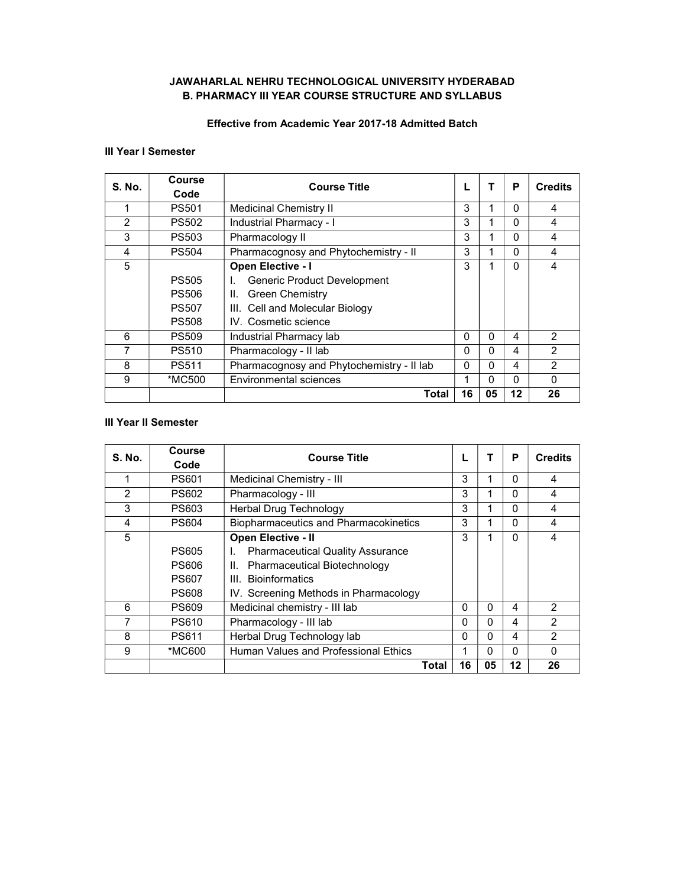# JAWAHARLAL NEHRU TECHNOLOGICAL UNIVERSITY HYDERABAD B. PHARMACY III YEAR COURSE STRUCTURE AND SYLLABUS

# Effective from Academic Year 2017-18 Admitted Batch

### III Year I Semester

| <b>S. No.</b> | Course<br><b>Course Title</b> |                                           |    | P  | <b>Credits</b> |                |
|---------------|-------------------------------|-------------------------------------------|----|----|----------------|----------------|
|               | Code                          |                                           |    |    |                |                |
|               | <b>PS501</b>                  | Medicinal Chemistry II                    | 3  |    | $\Omega$       | 4              |
| $\mathcal{P}$ | <b>PS502</b>                  | Industrial Pharmacy - I                   | 3  |    | 0              | 4              |
| 3             | <b>PS503</b>                  | Pharmacology II                           | 3  |    | $\Omega$       | 4              |
| 4             | <b>PS504</b>                  | Pharmacognosy and Phytochemistry - II     | 3  |    | $\Omega$       | 4              |
| 5             |                               | <b>Open Elective - I</b>                  | 3  |    | $\Omega$       | 4              |
|               | <b>PS505</b>                  | <b>Generic Product Development</b><br>L.  |    |    |                |                |
|               | <b>PS506</b>                  | <b>Green Chemistry</b><br>Ш.              |    |    |                |                |
|               | <b>PS507</b>                  | III. Cell and Molecular Biology           |    |    |                |                |
|               | <b>PS508</b>                  | IV. Cosmetic science                      |    |    |                |                |
| 6             | <b>PS509</b>                  | Industrial Pharmacy lab                   | 0  | 0  | 4              | $\mathfrak{p}$ |
| 7             | <b>PS510</b>                  | Pharmacology - II lab                     | 0  | 0  | 4              | $\mathfrak{p}$ |
| 8             | <b>PS511</b>                  | Pharmacognosy and Phytochemistry - II lab | 0  | n  | 4              | 2              |
| 9             | *MC500                        | Environmental sciences                    |    | 0  | 0              | 0              |
|               |                               | Total                                     | 16 | 05 | 12             | 26             |

## III Year II Semester

| <b>S. No.</b> | Course       | <b>Course Title</b>                           |    |    | P        | <b>Credits</b> |
|---------------|--------------|-----------------------------------------------|----|----|----------|----------------|
|               | Code         |                                               |    |    |          |                |
| $\mathbf{1}$  | <b>PS601</b> | Medicinal Chemistry - III                     | 3  | 1  | $\Omega$ | 4              |
| $\mathcal{P}$ | <b>PS602</b> | Pharmacology - III                            | 3  |    | $\Omega$ | 4              |
| 3             | <b>PS603</b> | <b>Herbal Drug Technology</b>                 | 3  | 1  | $\Omega$ | 4              |
| 4             | <b>PS604</b> | <b>Biopharmaceutics and Pharmacokinetics</b>  | 3  |    | $\Omega$ | 4              |
| 5             |              | <b>Open Elective - II</b>                     | 3  |    | $\Omega$ | 4              |
|               | <b>PS605</b> | <b>Pharmaceutical Quality Assurance</b><br>L. |    |    |          |                |
|               | <b>PS606</b> | Pharmaceutical Biotechnology<br>Ш.            |    |    |          |                |
|               | <b>PS607</b> | <b>Bioinformatics</b><br>III.                 |    |    |          |                |
|               | <b>PS608</b> | IV. Screening Methods in Pharmacology         |    |    |          |                |
| 6             | <b>PS609</b> | Medicinal chemistry - III lab                 | 0  | 0  | 4        | $\mathcal{P}$  |
| 7             | <b>PS610</b> | Pharmacology - III lab                        | 0  | 0  | 4        | $\mathcal{P}$  |
| 8             | <b>PS611</b> | Herbal Drug Technology lab                    | 0  | 0  | 4        | $\mathfrak{p}$ |
| 9             | *MC600       | Human Values and Professional Ethics          | 1  | 0  | $\Omega$ | $\Omega$       |
|               |              | Total                                         | 16 | 05 | 12       | 26             |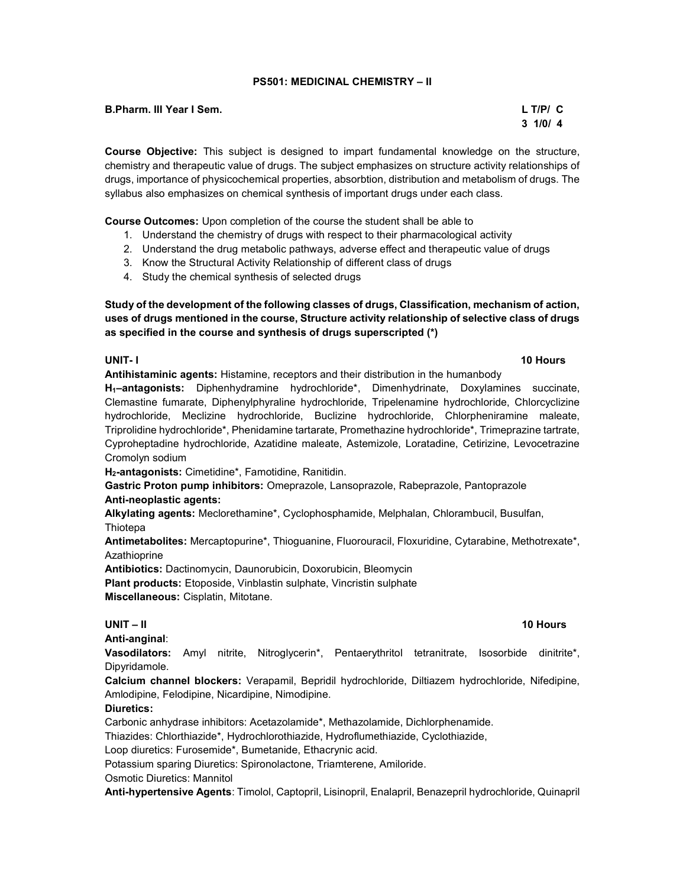### PS501: MEDICINAL CHEMISTRY – II

B.Pharm. III Year I Sem. L T/P/ C

Course Objective: This subject is designed to impart fundamental knowledge on the structure, chemistry and therapeutic value of drugs. The subject emphasizes on structure activity relationships of drugs, importance of physicochemical properties, absorbtion, distribution and metabolism of drugs. The syllabus also emphasizes on chemical synthesis of important drugs under each class.

Course Outcomes: Upon completion of the course the student shall be able to

- 1. Understand the chemistry of drugs with respect to their pharmacological activity
- 2. Understand the drug metabolic pathways, adverse effect and therapeutic value of drugs
- 3. Know the Structural Activity Relationship of different class of drugs
- 4. Study the chemical synthesis of selected drugs

Study of the development of the following classes of drugs, Classification, mechanism of action, uses of drugs mentioned in the course, Structure activity relationship of selective class of drugs as specified in the course and synthesis of drugs superscripted (\*)

### UNIT- I 10 Hours and the United States of the United States of the United States of the United States of the U

Antihistaminic agents: Histamine, receptors and their distribution in the humanbody

H<sub>1</sub>-antagonists: Diphenhydramine hydrochloride<sup>\*</sup>, Dimenhydrinate, Doxylamines succinate, Clemastine fumarate, Diphenylphyraline hydrochloride, Tripelenamine hydrochloride, Chlorcyclizine hydrochloride, Meclizine hydrochloride, Buclizine hydrochloride, Chlorpheniramine maleate, Triprolidine hydrochloride\*, Phenidamine tartarate, Promethazine hydrochloride\*, Trimeprazine tartrate, Cyproheptadine hydrochloride, Azatidine maleate, Astemizole, Loratadine, Cetirizine, Levocetrazine Cromolyn sodium

H<sub>2</sub>-antagonists: Cimetidine\*, Famotidine, Ranitidin.

Gastric Proton pump inhibitors: Omeprazole, Lansoprazole, Rabeprazole, Pantoprazole Anti-neoplastic agents:

Alkylating agents: Meclorethamine\*, Cyclophosphamide, Melphalan, Chlorambucil, Busulfan, **Thiotepa** 

Antimetabolites: Mercaptopurine\*, Thioguanine, Fluorouracil, Floxuridine, Cytarabine, Methotrexate\*, Azathioprine

Antibiotics: Dactinomycin, Daunorubicin, Doxorubicin, Bleomycin

Plant products: Etoposide, Vinblastin sulphate, Vincristin sulphate Miscellaneous: Cisplatin, Mitotane.

# UNIT – II 10 Hours

Anti-anginal:

Vasodilators: Amyl nitrite, Nitroglycerin\*, Pentaerythritol tetranitrate, Isosorbide dinitrite\*, Dipyridamole.

Calcium channel blockers: Verapamil, Bepridil hydrochloride, Diltiazem hydrochloride, Nifedipine, Amlodipine, Felodipine, Nicardipine, Nimodipine.

# Diuretics:

Carbonic anhydrase inhibitors: Acetazolamide\*, Methazolamide, Dichlorphenamide.

Thiazides: Chlorthiazide\*, Hydrochlorothiazide, Hydroflumethiazide, Cyclothiazide,

Loop diuretics: Furosemide\*, Bumetanide, Ethacrynic acid.

Potassium sparing Diuretics: Spironolactone, Triamterene, Amiloride.

Osmotic Diuretics: Mannitol

Anti-hypertensive Agents: Timolol, Captopril, Lisinopril, Enalapril, Benazepril hydrochloride, Quinapril

 $3 \frac{1}{0}$  1/0/ 4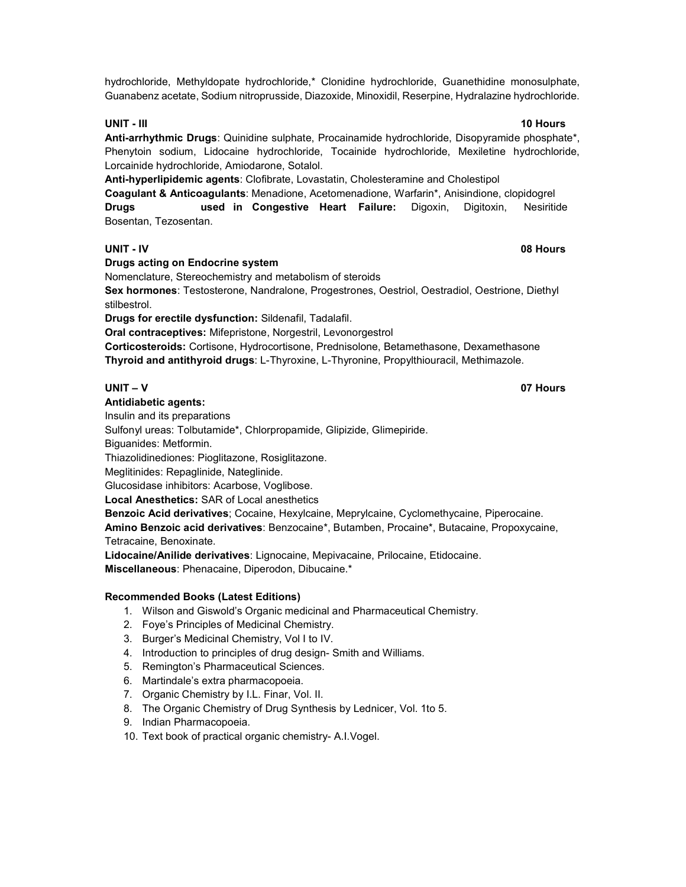hydrochloride, Methyldopate hydrochloride,\* Clonidine hydrochloride, Guanethidine monosulphate, Guanabenz acetate, Sodium nitroprusside, Diazoxide, Minoxidil, Reserpine, Hydralazine hydrochloride.

# UNIT - III 10 Hours and the United States of the United States of the United States of the United States of the

Anti-arrhythmic Drugs: Quinidine sulphate, Procainamide hydrochloride, Disopyramide phosphate\*, Phenytoin sodium, Lidocaine hydrochloride, Tocainide hydrochloride, Mexiletine hydrochloride, Lorcainide hydrochloride, Amiodarone, Sotalol.

Anti-hyperlipidemic agents: Clofibrate, Lovastatin, Cholesteramine and Cholestipol Coagulant & Anticoagulants: Menadione, Acetomenadione, Warfarin\*, Anisindione, clopidogrel Drugs **used in Congestive Heart Failure:** Digoxin, Digitoxin, Nesiritide Bosentan, Tezosentan.

# UNIT - IV 08 Hours

Drugs acting on Endocrine system

Nomenclature, Stereochemistry and metabolism of steroids

Sex hormones: Testosterone, Nandralone, Progestrones, Oestriol, Oestradiol, Oestrione, Diethyl stilbestrol.

Drugs for erectile dysfunction: Sildenafil, Tadalafil.

Oral contraceptives: Mifepristone, Norgestril, Levonorgestrol

Corticosteroids: Cortisone, Hydrocortisone, Prednisolone, Betamethasone, Dexamethasone Thyroid and antithyroid drugs: L-Thyroxine, L-Thyronine, Propylthiouracil, Methimazole.

#### Antidiabetic agents:

Insulin and its preparations

Sulfonyl ureas: Tolbutamide\*, Chlorpropamide, Glipizide, Glimepiride.

Biguanides: Metformin.

Thiazolidinediones: Pioglitazone, Rosiglitazone.

Meglitinides: Repaglinide, Nateglinide.

Glucosidase inhibitors: Acarbose, Voglibose.

Local Anesthetics: SAR of Local anesthetics

Benzoic Acid derivatives; Cocaine, Hexylcaine, Meprylcaine, Cyclomethycaine, Piperocaine. Amino Benzoic acid derivatives: Benzocaine\*, Butamben, Procaine\*, Butacaine, Propoxycaine,

Tetracaine, Benoxinate.

Lidocaine/Anilide derivatives: Lignocaine, Mepivacaine, Prilocaine, Etidocaine. Miscellaneous: Phenacaine, Diperodon, Dibucaine.\*

# Recommended Books (Latest Editions)

- 1. Wilson and Giswold's Organic medicinal and Pharmaceutical Chemistry.
- 2. Foye's Principles of Medicinal Chemistry.
- 3. Burger's Medicinal Chemistry, Vol I to IV.
- 4. Introduction to principles of drug design- Smith and Williams.
- 5. Remington's Pharmaceutical Sciences.
- 6. Martindale's extra pharmacopoeia.
- 7. Organic Chemistry by I.L. Finar, Vol. II.
- 8. The Organic Chemistry of Drug Synthesis by Lednicer, Vol. 1to 5.
- 9. Indian Pharmacopoeia.
- 10. Text book of practical organic chemistry- A.I.Vogel.

UNIT – V 07 Hours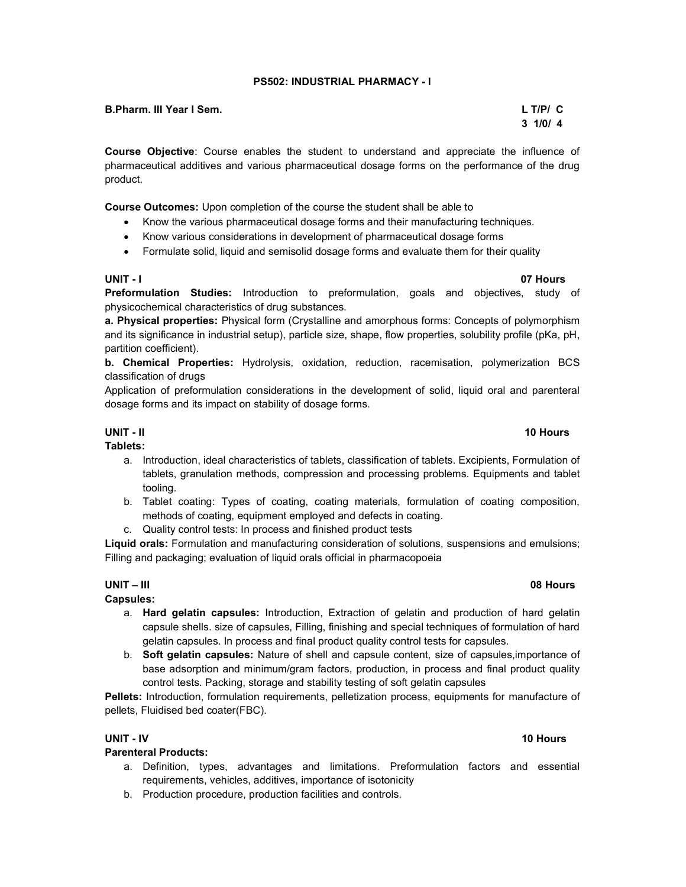### PS502: INDUSTRIAL PHARMACY - I

| B.Pharm. III Year I Sem. | $L$ T/P/ $C$ |
|--------------------------|--------------|
|                          | 3 1/0/4      |

Course Objective: Course enables the student to understand and appreciate the influence of pharmaceutical additives and various pharmaceutical dosage forms on the performance of the drug product.

Course Outcomes: Upon completion of the course the student shall be able to

- Know the various pharmaceutical dosage forms and their manufacturing techniques.
- Know various considerations in development of pharmaceutical dosage forms
- Formulate solid, liquid and semisolid dosage forms and evaluate them for their quality

Preformulation Studies: Introduction to preformulation, goals and objectives, study of physicochemical characteristics of drug substances.

a. Physical properties: Physical form (Crystalline and amorphous forms: Concepts of polymorphism and its significance in industrial setup), particle size, shape, flow properties, solubility profile (pKa, pH, partition coefficient).

b. Chemical Properties: Hydrolysis, oxidation, reduction, racemisation, polymerization BCS classification of drugs

Application of preformulation considerations in the development of solid, liquid oral and parenteral dosage forms and its impact on stability of dosage forms.

#### UNIT - II 10 Hours Tablets:

- a. Introduction, ideal characteristics of tablets, classification of tablets. Excipients, Formulation of tablets, granulation methods, compression and processing problems. Equipments and tablet tooling.
- b. Tablet coating: Types of coating, coating materials, formulation of coating composition, methods of coating, equipment employed and defects in coating.
- c. Quality control tests: In process and finished product tests

Liquid orals: Formulation and manufacturing consideration of solutions, suspensions and emulsions; Filling and packaging; evaluation of liquid orals official in pharmacopoeia

# UNIT – III 08 Hours

# Capsules:

- a. Hard gelatin capsules: Introduction, Extraction of gelatin and production of hard gelatin capsule shells. size of capsules, Filling, finishing and special techniques of formulation of hard gelatin capsules. In process and final product quality control tests for capsules.
- b. Soft gelatin capsules: Nature of shell and capsule content, size of capsules,importance of base adsorption and minimum/gram factors, production, in process and final product quality control tests. Packing, storage and stability testing of soft gelatin capsules

Pellets: Introduction, formulation requirements, pelletization process, equipments for manufacture of pellets, Fluidised bed coater(FBC).

# Parenteral Products:

- a. Definition, types, advantages and limitations. Preformulation factors and essential requirements, vehicles, additives, importance of isotonicity
- b. Production procedure, production facilities and controls.

# UNIT - IV 10 Hours

# UNIT - I 07 Hours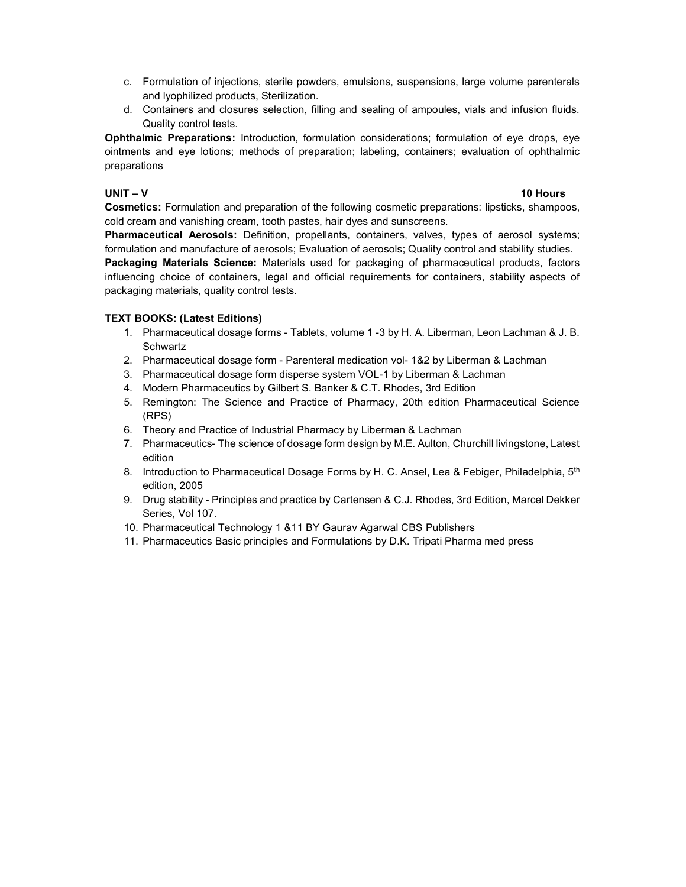- c. Formulation of injections, sterile powders, emulsions, suspensions, large volume parenterals and lyophilized products, Sterilization.
- d. Containers and closures selection, filling and sealing of ampoules, vials and infusion fluids. Quality control tests.

Ophthalmic Preparations: Introduction, formulation considerations; formulation of eye drops, eye ointments and eye lotions; methods of preparation; labeling, containers; evaluation of ophthalmic preparations

### UNIT – V 10 Hours

Cosmetics: Formulation and preparation of the following cosmetic preparations: lipsticks, shampoos, cold cream and vanishing cream, tooth pastes, hair dyes and sunscreens.

Pharmaceutical Aerosols: Definition, propellants, containers, valves, types of aerosol systems; formulation and manufacture of aerosols; Evaluation of aerosols; Quality control and stability studies. **Packaging Materials Science:** Materials used for packaging of pharmaceutical products, factors influencing choice of containers, legal and official requirements for containers, stability aspects of packaging materials, quality control tests.

# TEXT BOOKS: (Latest Editions)

- 1. Pharmaceutical dosage forms Tablets, volume 1 -3 by H. A. Liberman, Leon Lachman & J. B. **Schwartz**
- 2. Pharmaceutical dosage form Parenteral medication vol- 1&2 by Liberman & Lachman
- 3. Pharmaceutical dosage form disperse system VOL-1 by Liberman & Lachman
- 4. Modern Pharmaceutics by Gilbert S. Banker & C.T. Rhodes, 3rd Edition
- 5. Remington: The Science and Practice of Pharmacy, 20th edition Pharmaceutical Science (RPS)
- 6. Theory and Practice of Industrial Pharmacy by Liberman & Lachman
- 7. Pharmaceutics- The science of dosage form design by M.E. Aulton, Churchill livingstone, Latest edition
- 8. Introduction to Pharmaceutical Dosage Forms by H. C. Ansel, Lea & Febiger, Philadelphia, 5<sup>th</sup> edition, 2005
- 9. Drug stability Principles and practice by Cartensen & C.J. Rhodes, 3rd Edition, Marcel Dekker Series, Vol 107.
- 10. Pharmaceutical Technology 1 &11 BY Gaurav Agarwal CBS Publishers
- 11. Pharmaceutics Basic principles and Formulations by D.K. Tripati Pharma med press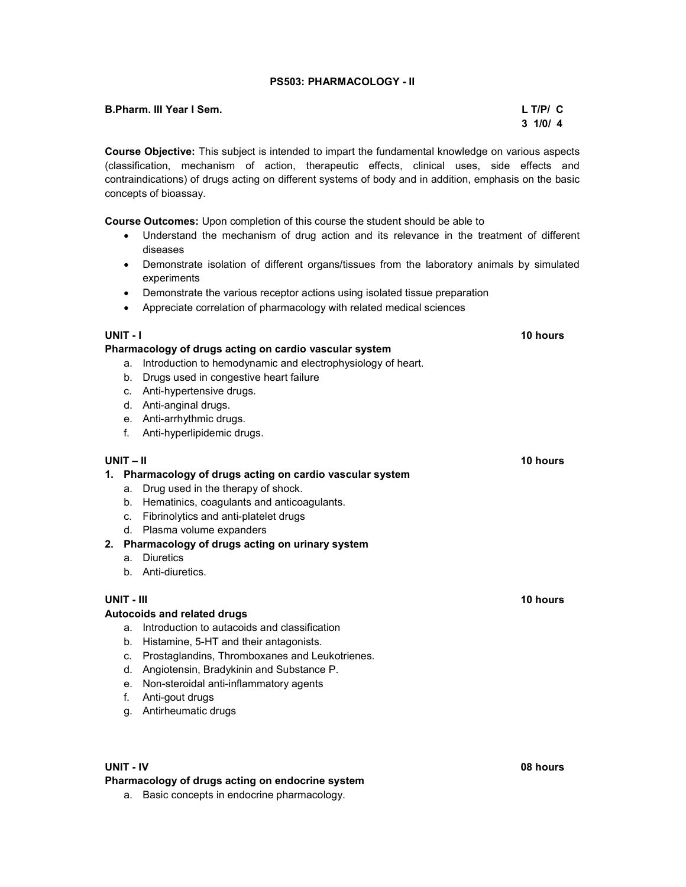## PS503: PHARMACOLOGY - II

| <b>B.Pharm. III Year I Sem.</b> | $L$ T/P/ $C$      |
|---------------------------------|-------------------|
|                                 | $3 \frac{1}{0}$ 4 |

Course Objective: This subject is intended to impart the fundamental knowledge on various aspects (classification, mechanism of action, therapeutic effects, clinical uses, side effects and contraindications) of drugs acting on different systems of body and in addition, emphasis on the basic concepts of bioassay.

Course Outcomes: Upon completion of this course the student should be able to

- Understand the mechanism of drug action and its relevance in the treatment of different diseases
- Demonstrate isolation of different organs/tissues from the laboratory animals by simulated experiments
- Demonstrate the various receptor actions using isolated tissue preparation
- Appreciate correlation of pharmacology with related medical sciences

### UNIT - I 10 hours and the UNIT - I 10 hours and the UNIT - I 10 hours and the UNIT - I

### Pharmacology of drugs acting on cardio vascular system

- a. Introduction to hemodynamic and electrophysiology of heart.
- b. Drugs used in congestive heart failure
- c. Anti-hypertensive drugs.
- d. Anti-anginal drugs.
- e. Anti-arrhythmic drugs.
- f. Anti-hyperlipidemic drugs.

#### UNIT – II 10 hours

#### 1. Pharmacology of drugs acting on cardio vascular system

- a. Drug used in the therapy of shock.
- b. Hematinics, coagulants and anticoagulants.
- c. Fibrinolytics and anti-platelet drugs
- d. Plasma volume expanders

# 2. Pharmacology of drugs acting on urinary system

- a. Diuretics
- b. Anti-diuretics.

#### UNIT - III 10 hours and the contract of the contract of the contract of the contract of the contract of the contract of the contract of the contract of the contract of the contract of the contract of the contract of the co

#### Autocoids and related drugs

- a. Introduction to autacoids and classification
- b. Histamine, 5-HT and their antagonists.
- c. Prostaglandins, Thromboxanes and Leukotrienes.
- d. Angiotensin, Bradykinin and Substance P.
- e. Non-steroidal anti-inflammatory agents
- f. Anti-gout drugs
- g. Antirheumatic drugs

#### UNIT - IV 08 hours

#### Pharmacology of drugs acting on endocrine system

a. Basic concepts in endocrine pharmacology.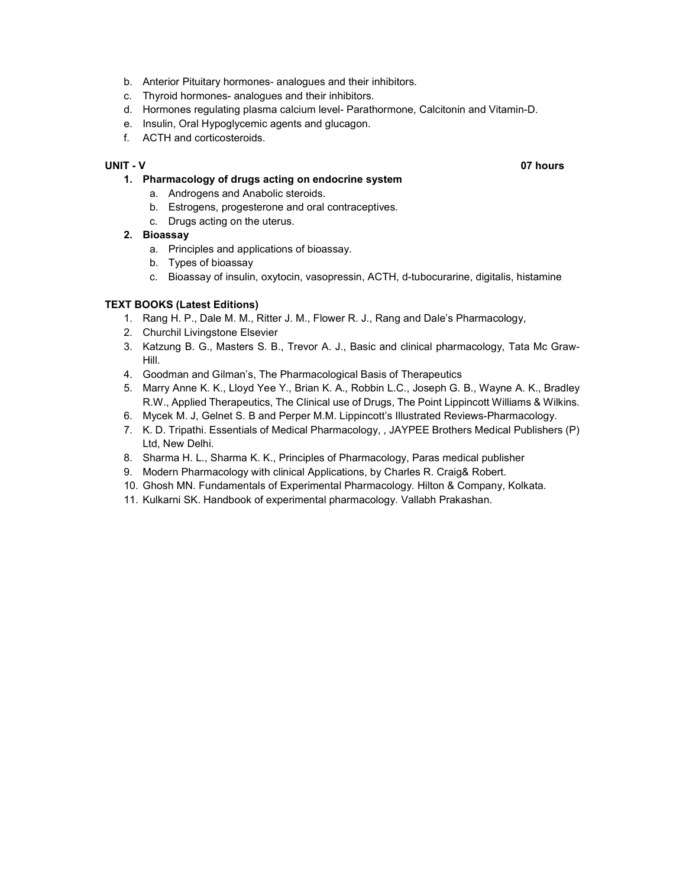- b. Anterior Pituitary hormones- analogues and their inhibitors.
- c. Thyroid hormones- analogues and their inhibitors.
- d. Hormones regulating plasma calcium level- Parathormone, Calcitonin and Vitamin-D.
- e. Insulin, Oral Hypoglycemic agents and glucagon.
- f. ACTH and corticosteroids.

# UNIT - V 07 hours

#### 1. Pharmacology of drugs acting on endocrine system

- a. Androgens and Anabolic steroids.
- b. Estrogens, progesterone and oral contraceptives.
- c. Drugs acting on the uterus.

# 2. Bioassay

- a. Principles and applications of bioassay.
- b. Types of bioassay
- c. Bioassay of insulin, oxytocin, vasopressin, ACTH, d-tubocurarine, digitalis, histamine

# TEXT BOOKS (Latest Editions)

- 1. Rang H. P., Dale M. M., Ritter J. M., Flower R. J., Rang and Dale's Pharmacology,
- 2. Churchil Livingstone Elsevier
- 3. Katzung B. G., Masters S. B., Trevor A. J., Basic and clinical pharmacology, Tata Mc Graw-Hill.
- 4. Goodman and Gilman's, The Pharmacological Basis of Therapeutics
- 5. Marry Anne K. K., Lloyd Yee Y., Brian K. A., Robbin L.C., Joseph G. B., Wayne A. K., Bradley R.W., Applied Therapeutics, The Clinical use of Drugs, The Point Lippincott Williams & Wilkins.
- 6. Mycek M. J, Gelnet S. B and Perper M.M. Lippincott's Illustrated Reviews-Pharmacology.
- 7. K. D. Tripathi. Essentials of Medical Pharmacology, , JAYPEE Brothers Medical Publishers (P) Ltd, New Delhi.
- 8. Sharma H. L., Sharma K. K., Principles of Pharmacology, Paras medical publisher
- 9. Modern Pharmacology with clinical Applications, by Charles R. Craig& Robert.
- 10. Ghosh MN. Fundamentals of Experimental Pharmacology. Hilton & Company, Kolkata.
- 11. Kulkarni SK. Handbook of experimental pharmacology. Vallabh Prakashan.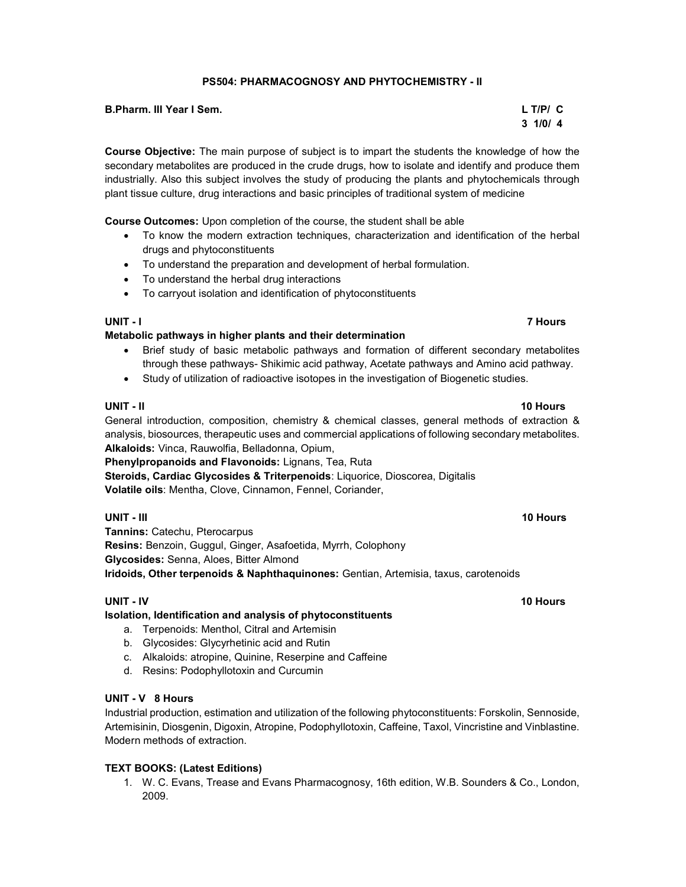# PS504: PHARMACOGNOSY AND PHYTOCHEMISTRY - II

B.Pharm. III Year I Sem. L T/P/ C

Course Objective: The main purpose of subject is to impart the students the knowledge of how the secondary metabolites are produced in the crude drugs, how to isolate and identify and produce them industrially. Also this subject involves the study of producing the plants and phytochemicals through plant tissue culture, drug interactions and basic principles of traditional system of medicine

Course Outcomes: Upon completion of the course, the student shall be able

- To know the modern extraction techniques, characterization and identification of the herbal drugs and phytoconstituents
- To understand the preparation and development of herbal formulation.
- To understand the herbal drug interactions
- To carryout isolation and identification of phytoconstituents

# Metabolic pathways in higher plants and their determination

- Brief study of basic metabolic pathways and formation of different secondary metabolites through these pathways- Shikimic acid pathway, Acetate pathways and Amino acid pathway.
- Study of utilization of radioactive isotopes in the investigation of Biogenetic studies.

### UNIT - II 10 Hours and the United States of the United States of the United States of the United States of the

General introduction, composition, chemistry & chemical classes, general methods of extraction & analysis, biosources, therapeutic uses and commercial applications of following secondary metabolites. Alkaloids: Vinca, Rauwolfia, Belladonna, Opium,

Phenylpropanoids and Flavonoids: Lignans, Tea, Ruta

Steroids, Cardiac Glycosides & Triterpenoids: Liquorice, Dioscorea, Digitalis Volatile oils: Mentha, Clove, Cinnamon, Fennel, Coriander,

# UNIT - III 10 Hours and the United States of the United States of the United States of the United States of the

Tannins: Catechu, Pterocarpus Resins: Benzoin, Guggul, Ginger, Asafoetida, Myrrh, Colophony Glycosides: Senna, Aloes, Bitter Almond Iridoids, Other terpenoids & Naphthaquinones: Gentian, Artemisia, taxus, carotenoids

#### UNIT - IV 10 Hours and the United States of the United States of the United States of the United States of the

# Isolation, Identification and analysis of phytoconstituents

- a. Terpenoids: Menthol, Citral and Artemisin
- b. Glycosides: Glycyrhetinic acid and Rutin
- c. Alkaloids: atropine, Quinine, Reserpine and Caffeine
- d. Resins: Podophyllotoxin and Curcumin

# UNIT - V 8 Hours

Industrial production, estimation and utilization of the following phytoconstituents: Forskolin, Sennoside, Artemisinin, Diosgenin, Digoxin, Atropine, Podophyllotoxin, Caffeine, Taxol, Vincristine and Vinblastine. Modern methods of extraction.

# TEXT BOOKS: (Latest Editions)

1. W. C. Evans, Trease and Evans Pharmacognosy, 16th edition, W.B. Sounders & Co., London, 2009.

# $3 \frac{1}{0}$  1/0/ 4

UNIT - I 7 Hours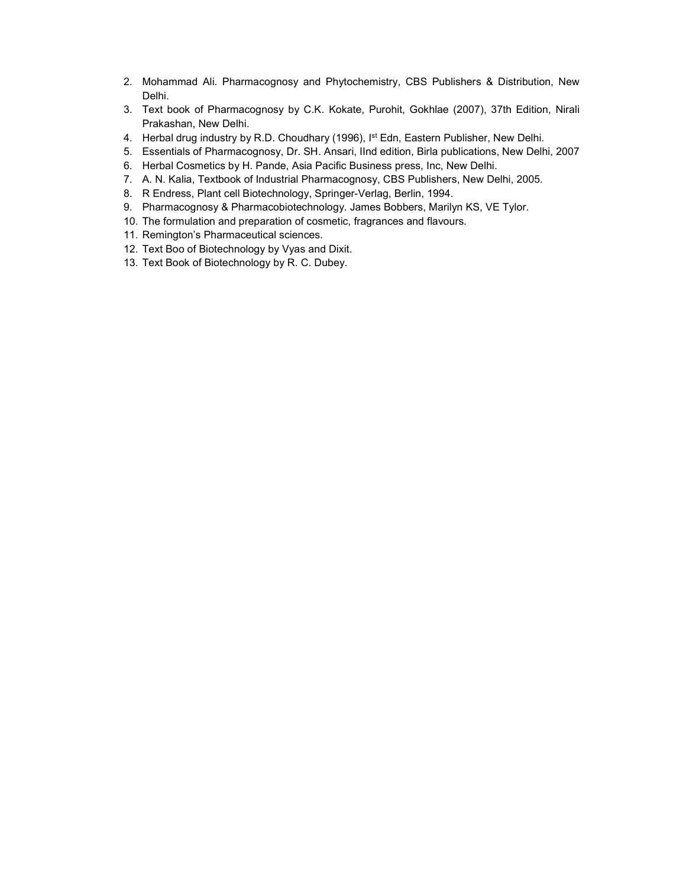- 2. Mohammad Ali. Pharmacognosy and Phytochemistry, CBS Publishers & Distribution, New Delhi.
- 3. Text book of Pharmacognosy by C.K. Kokate, Purohit, Gokhlae (2007), 37th Edition, Nirali Prakashan, New Delhi.
- 4. Herbal drug industry by R.D. Choudhary (1996), I<sup>st</sup> Edn, Eastern Publisher, New Delhi.
- 5. Essentials of Pharmacognosy, Dr. SH. Ansari, IInd edition, Birla publications, New Delhi, 2007
- 6. Herbal Cosmetics by H. Pande, Asia Pacific Business press, Inc, New Delhi.
- 7. A. N. Kalia, Textbook of Industrial Pharmacognosy, CBS Publishers, New Delhi, 2005.
- 8. R Endress, Plant cell Biotechnology, Springer-Verlag, Berlin, 1994.
- 9. Pharmacognosy & Pharmacobiotechnology. James Bobbers, Marilyn KS, VE Tylor.
- 10. The formulation and preparation of cosmetic, fragrances and flavours.
- 11. Remington's Pharmaceutical sciences.
- 12. Text Boo of Biotechnology by Vyas and Dixit.
- 13. Text Book of Biotechnology by R. C. Dubey.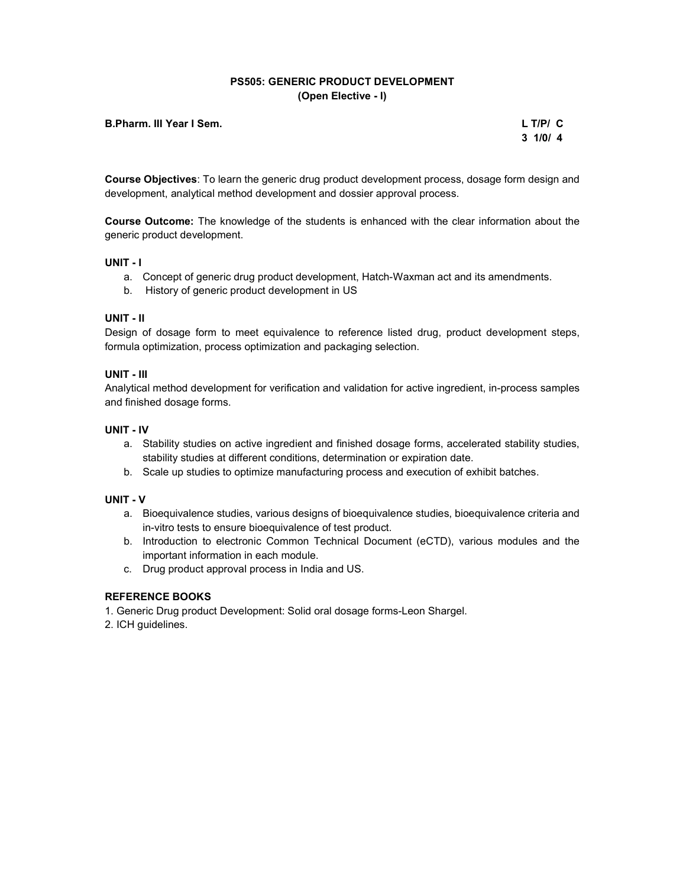# PS505: GENERIC PRODUCT DEVELOPMENT (Open Elective - I)

### B.Pharm. III Year I Sem. L T/P/ C

 $3 \frac{1}{0}$  1/0/ 4

Course Objectives: To learn the generic drug product development process, dosage form design and development, analytical method development and dossier approval process.

Course Outcome: The knowledge of the students is enhanced with the clear information about the generic product development.

### UNIT - I

- a. Concept of generic drug product development, Hatch-Waxman act and its amendments.
- b. History of generic product development in US

#### UNIT - II

Design of dosage form to meet equivalence to reference listed drug, product development steps, formula optimization, process optimization and packaging selection.

### UNIT - III

Analytical method development for verification and validation for active ingredient, in-process samples and finished dosage forms.

### UNIT - IV

- a. Stability studies on active ingredient and finished dosage forms, accelerated stability studies, stability studies at different conditions, determination or expiration date.
- b. Scale up studies to optimize manufacturing process and execution of exhibit batches.

#### UNIT - V

- a. Bioequivalence studies, various designs of bioequivalence studies, bioequivalence criteria and in-vitro tests to ensure bioequivalence of test product.
- b. Introduction to electronic Common Technical Document (eCTD), various modules and the important information in each module.
- c. Drug product approval process in India and US.

# REFERENCE BOOKS

1. Generic Drug product Development: Solid oral dosage forms-Leon Shargel.

2. ICH guidelines.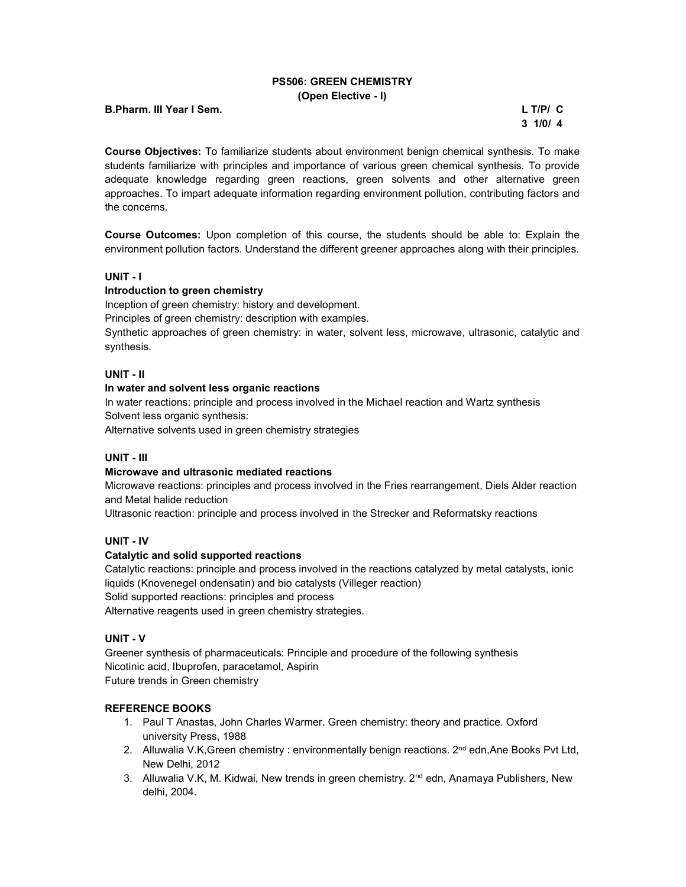## PS506: GREEN CHEMISTRY (Open Elective - I)

| <b>B.Pharm. III Year I Sem.</b> | $L$ T/P/ $C$ |
|---------------------------------|--------------|
|---------------------------------|--------------|

 $3 \frac{1}{0}$  1/0/ 4

Course Objectives: To familiarize students about environment benign chemical synthesis. To make students familiarize with principles and importance of various green chemical synthesis. To provide adequate knowledge regarding green reactions, green solvents and other alternative green approaches. To impart adequate information regarding environment pollution, contributing factors and the concerns.

Course Outcomes: Upon completion of this course, the students should be able to: Explain the environment pollution factors. Understand the different greener approaches along with their principles.

# UNIT - I

# Introduction to green chemistry

Inception of green chemistry: history and development.

Principles of green chemistry: description with examples.

Synthetic approaches of green chemistry: in water, solvent less, microwave, ultrasonic, catalytic and synthesis.

### UNIT - II

## In water and solvent less organic reactions

In water reactions: principle and process involved in the Michael reaction and Wartz synthesis Solvent less organic synthesis:

Alternative solvents used in green chemistry strategies

# UNIT - III

#### Microwave and ultrasonic mediated reactions

Microwave reactions: principles and process involved in the Fries rearrangement, Diels Alder reaction and Metal halide reduction

Ultrasonic reaction: principle and process involved in the Strecker and Reformatsky reactions

### UNIT - IV

#### Catalytic and solid supported reactions

Catalytic reactions: principle and process involved in the reactions catalyzed by metal catalysts, ionic liquids (Knovenegel ondensatin) and bio catalysts (Villeger reaction) Solid supported reactions: principles and process Alternative reagents used in green chemistry strategies.

#### UNIT - V

Greener synthesis of pharmaceuticals: Principle and procedure of the following synthesis Nicotinic acid, Ibuprofen, paracetamol, Aspirin Future trends in Green chemistry

# REFERENCE BOOKS

- 1. Paul T Anastas, John Charles Warmer. Green chemistry: theory and practice. Oxford university Press, 1988
- 2. Alluwalia V.K, Green chemistry : environmentally benign reactions. 2<sup>nd</sup> edn, Ane Books Pvt Ltd, New Delhi, 2012
- 3. Alluwalia V.K, M. Kidwai, New trends in green chemistry. 2<sup>nd</sup> edn, Anamaya Publishers, New delhi, 2004.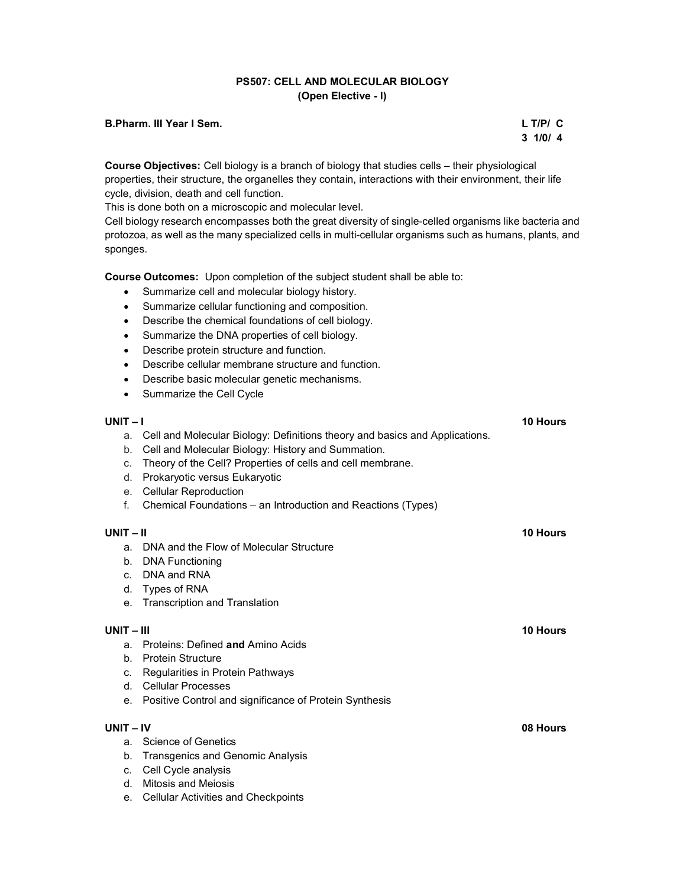# PS507: CELL AND MOLECULAR BIOLOGY (Open Elective - I)

### B.Pharm. III Year I Sem. L T/P/ C

 $3 \frac{1}{0}$  1/0/ 4

Course Objectives: Cell biology is a branch of biology that studies cells – their physiological properties, their structure, the organelles they contain, interactions with their environment, their life cycle, division, death and cell function.

This is done both on a microscopic and molecular level.

Cell biology research encompasses both the great diversity of single-celled organisms like bacteria and protozoa, as well as the many specialized cells in multi-cellular organisms such as humans, plants, and sponges.

Course Outcomes: Upon completion of the subject student shall be able to:

- Summarize cell and molecular biology history.
- Summarize cellular functioning and composition.
- Describe the chemical foundations of cell biology.
- Summarize the DNA properties of cell biology.
- Describe protein structure and function.
- Describe cellular membrane structure and function.
- Describe basic molecular genetic mechanisms.
- Summarize the Cell Cycle

# UNIT – I 10 Hours a. Cell and Molecular Biology: Definitions theory and basics and Applications. b. Cell and Molecular Biology: History and Summation. c. Theory of the Cell? Properties of cells and cell membrane. d. Prokaryotic versus Eukaryotic e. Cellular Reproduction f. Chemical Foundations – an Introduction and Reactions (Types) UNIT – II 10 Hours a. DNA and the Flow of Molecular Structure b. DNA Functioning c. DNA and RNA d. Types of RNA e. Transcription and Translation UNIT – III 10 Hours – 10 Hours – 10 Hours – 10 Hours – 10 Hours – 10 Hours – 10 Hours a. Proteins: Defined and Amino Acids b. Protein Structure c. Regularities in Protein Pathways d. Cellular Processes e. Positive Control and significance of Protein Synthesis UNIT – IV 08 Hours a. Science of Genetics b. Transgenics and Genomic Analysis c. Cell Cycle analysis d. Mitosis and Meiosis

e. Cellular Activities and Checkpoints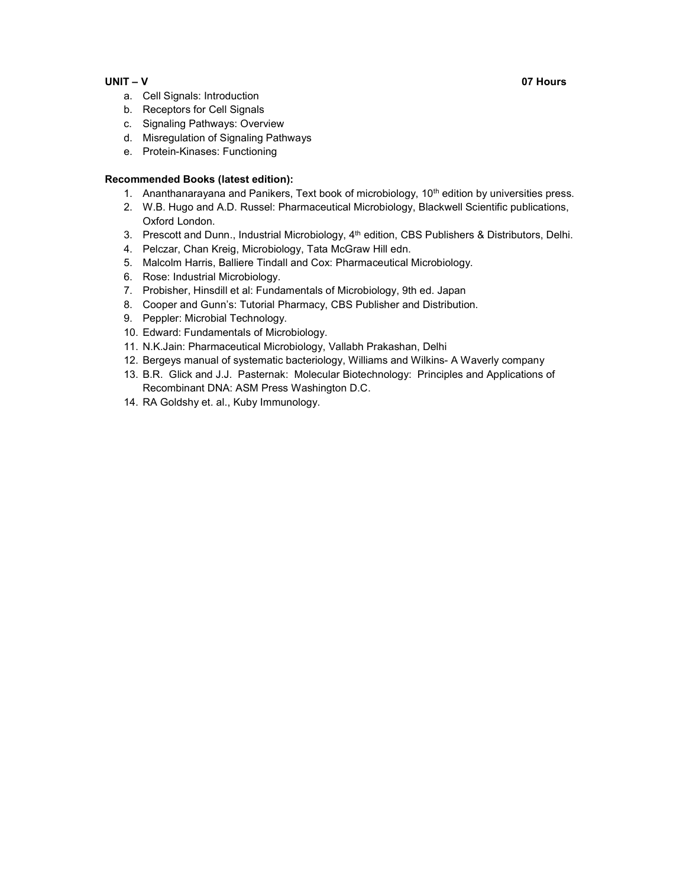## UNIT – V 07 Hours

- a. Cell Signals: Introduction
- b. Receptors for Cell Signals
- c. Signaling Pathways: Overview
- d. Misregulation of Signaling Pathways
- e. Protein-Kinases: Functioning

# Recommended Books (latest edition):

- 1. Ananthanarayana and Panikers, Text book of microbiology, 10<sup>th</sup> edition by universities press.
- 2. W.B. Hugo and A.D. Russel: Pharmaceutical Microbiology, Blackwell Scientific publications, Oxford London.
- 3. Prescott and Dunn., Industrial Microbiology, 4<sup>th</sup> edition, CBS Publishers & Distributors, Delhi.
- 4. Pelczar, Chan Kreig, Microbiology, Tata McGraw Hill edn.
- 5. Malcolm Harris, Balliere Tindall and Cox: Pharmaceutical Microbiology.
- 6. Rose: Industrial Microbiology.
- 7. Probisher, Hinsdill et al: Fundamentals of Microbiology, 9th ed. Japan
- 8. Cooper and Gunn's: Tutorial Pharmacy, CBS Publisher and Distribution.
- 9. Peppler: Microbial Technology.
- 10. Edward: Fundamentals of Microbiology.
- 11. N.K.Jain: Pharmaceutical Microbiology, Vallabh Prakashan, Delhi
- 12. Bergeys manual of systematic bacteriology, Williams and Wilkins- A Waverly company
- 13. B.R. Glick and J.J. Pasternak: Molecular Biotechnology: Principles and Applications of Recombinant DNA: ASM Press Washington D.C.
- 14. RA Goldshy et. al., Kuby Immunology.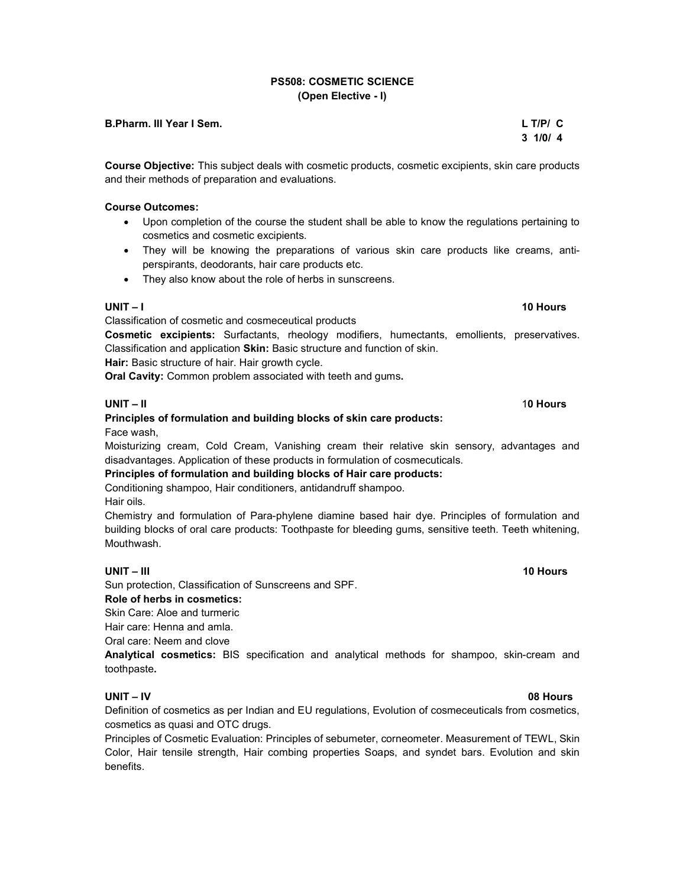# PS508: COSMETIC SCIENCE (Open Elective - I)

#### B.Pharm. III Year I Sem. L T/P/ C

Course Objective: This subject deals with cosmetic products, cosmetic excipients, skin care products and their methods of preparation and evaluations.

#### Course Outcomes:

- Upon completion of the course the student shall be able to know the regulations pertaining to cosmetics and cosmetic excipients.
- They will be knowing the preparations of various skin care products like creams, antiperspirants, deodorants, hair care products etc.
- They also know about the role of herbs in sunscreens.

#### UNIT – I 10 Hours and the United States of the United States of the United States of the United States of the U

Classification of cosmetic and cosmeceutical products

Cosmetic excipients: Surfactants, rheology modifiers, humectants, emollients, preservatives. Classification and application Skin: Basic structure and function of skin.

Hair: Basic structure of hair. Hair growth cycle.

Oral Cavity: Common problem associated with teeth and gums.

#### UNIT – II 10 Hours

# Principles of formulation and building blocks of skin care products:

Face wash,

Moisturizing cream, Cold Cream, Vanishing cream their relative skin sensory, advantages and disadvantages. Application of these products in formulation of cosmecuticals.

Principles of formulation and building blocks of Hair care products:

Conditioning shampoo, Hair conditioners, antidandruff shampoo. Hair oils.

Chemistry and formulation of Para-phylene diamine based hair dye. Principles of formulation and building blocks of oral care products: Toothpaste for bleeding gums, sensitive teeth. Teeth whitening, Mouthwash.

#### UNIT – III 10 Hours 10 Hours 10 Hours 10 Hours 10 Hours 10 Hours 10 Hours 10 Hours

Sun protection, Classification of Sunscreens and SPF.

### Role of herbs in cosmetics:

Skin Care: Aloe and turmeric

Hair care: Henna and amla.

Oral care: Neem and clove

Analytical cosmetics: BIS specification and analytical methods for shampoo, skin-cream and toothpaste.

#### UNIT – IV 08 Hours

Definition of cosmetics as per Indian and EU regulations, Evolution of cosmeceuticals from cosmetics, cosmetics as quasi and OTC drugs.

Principles of Cosmetic Evaluation: Principles of sebumeter, corneometer. Measurement of TEWL, Skin Color, Hair tensile strength, Hair combing properties Soaps, and syndet bars. Evolution and skin benefits.

# $3 \frac{1}{0}$  1/0/ 4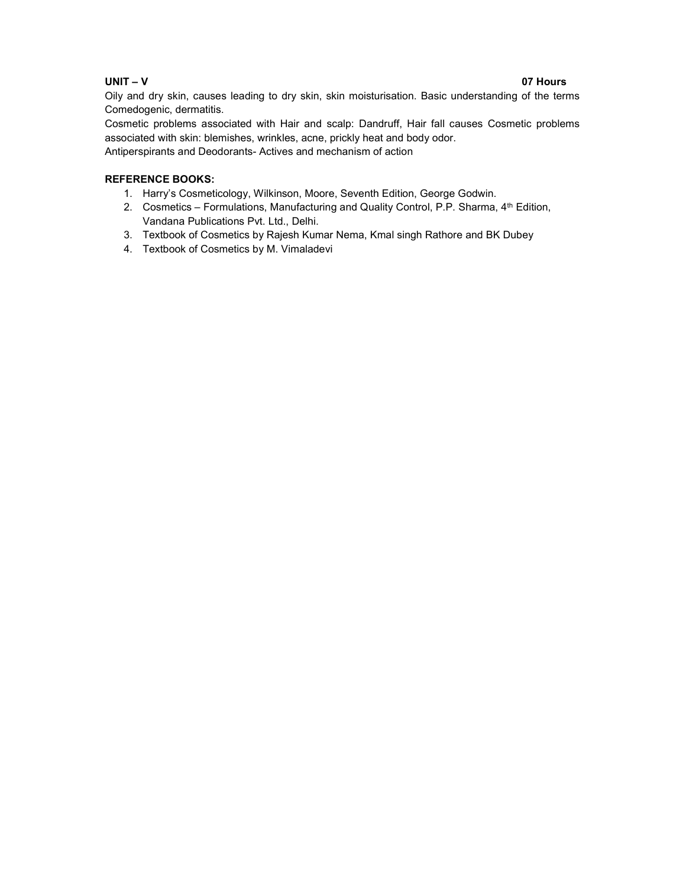# UNIT – V 07 Hours

Oily and dry skin, causes leading to dry skin, skin moisturisation. Basic understanding of the terms Comedogenic, dermatitis.

Cosmetic problems associated with Hair and scalp: Dandruff, Hair fall causes Cosmetic problems associated with skin: blemishes, wrinkles, acne, prickly heat and body odor.

Antiperspirants and Deodorants- Actives and mechanism of action

# REFERENCE BOOKS:

- 1. Harry's Cosmeticology, Wilkinson, Moore, Seventh Edition, George Godwin.
- 2. Cosmetics Formulations, Manufacturing and Quality Control, P.P. Sharma, 4<sup>th</sup> Edition, Vandana Publications Pvt. Ltd., Delhi.
- 3. Textbook of Cosmetics by Rajesh Kumar Nema, Kmal singh Rathore and BK Dubey
- 4. Textbook of Cosmetics by M. Vimaladevi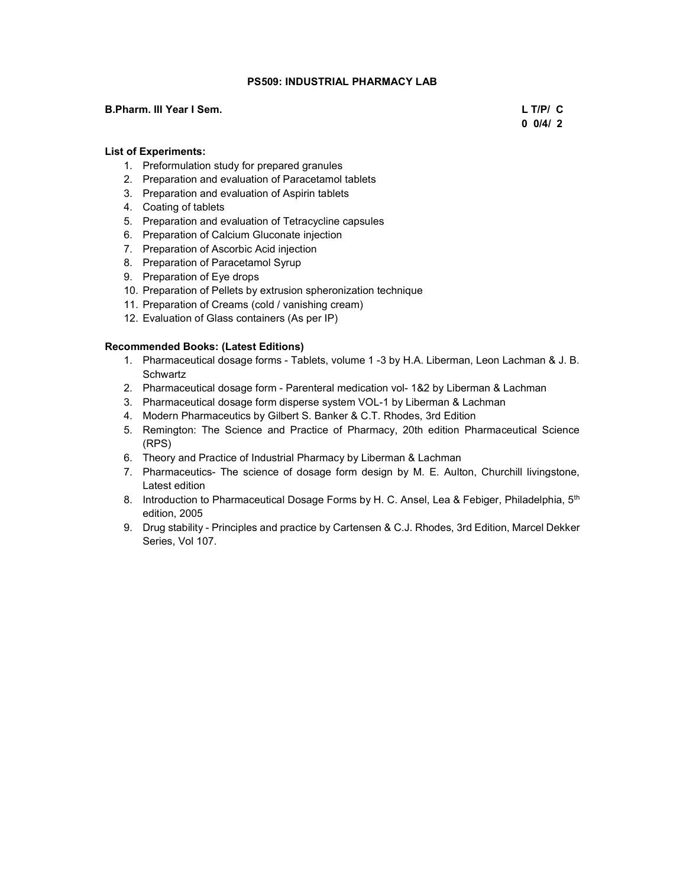# PS509: INDUSTRIAL PHARMACY LAB

#### B.Pharm. III Year I Sem. L T/P/ C

 $0\ 0/4/2$ 

## List of Experiments:

- 1. Preformulation study for prepared granules
- 2. Preparation and evaluation of Paracetamol tablets
- 3. Preparation and evaluation of Aspirin tablets
- 4. Coating of tablets
- 5. Preparation and evaluation of Tetracycline capsules
- 6. Preparation of Calcium Gluconate injection
- 7. Preparation of Ascorbic Acid injection
- 8. Preparation of Paracetamol Syrup
- 9. Preparation of Eye drops
- 10. Preparation of Pellets by extrusion spheronization technique
- 11. Preparation of Creams (cold / vanishing cream)
- 12. Evaluation of Glass containers (As per IP)

### Recommended Books: (Latest Editions)

- 1. Pharmaceutical dosage forms Tablets, volume 1 -3 by H.A. Liberman, Leon Lachman & J. B. **Schwartz**
- 2. Pharmaceutical dosage form Parenteral medication vol- 1&2 by Liberman & Lachman
- 3. Pharmaceutical dosage form disperse system VOL-1 by Liberman & Lachman
- 4. Modern Pharmaceutics by Gilbert S. Banker & C.T. Rhodes, 3rd Edition
- 5. Remington: The Science and Practice of Pharmacy, 20th edition Pharmaceutical Science (RPS)
- 6. Theory and Practice of Industrial Pharmacy by Liberman & Lachman
- 7. Pharmaceutics- The science of dosage form design by M. E. Aulton, Churchill livingstone, Latest edition
- 8. Introduction to Pharmaceutical Dosage Forms by H. C. Ansel, Lea & Febiger, Philadelphia, 5<sup>th</sup> edition, 2005
- 9. Drug stability Principles and practice by Cartensen & C.J. Rhodes, 3rd Edition, Marcel Dekker Series, Vol 107.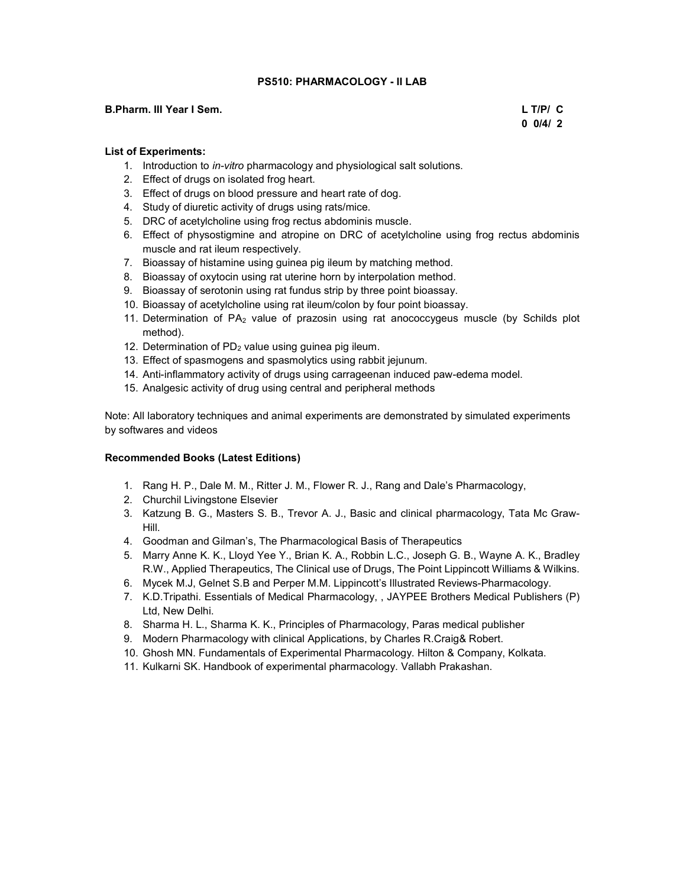### PS510: PHARMACOLOGY - II LAB

#### B.Pharm. III Year I Sem. L T/P/ C

 $0\ 0/4/2$ 

### List of Experiments:

- 1. Introduction to in-vitro pharmacology and physiological salt solutions.
- 2. Effect of drugs on isolated frog heart.
- 3. Effect of drugs on blood pressure and heart rate of dog.
- 4. Study of diuretic activity of drugs using rats/mice.
- 5. DRC of acetylcholine using frog rectus abdominis muscle.
- 6. Effect of physostigmine and atropine on DRC of acetylcholine using frog rectus abdominis muscle and rat ileum respectively.
- 7. Bioassay of histamine using guinea pig ileum by matching method.
- 8. Bioassay of oxytocin using rat uterine horn by interpolation method.
- 9. Bioassay of serotonin using rat fundus strip by three point bioassay.
- 10. Bioassay of acetylcholine using rat ileum/colon by four point bioassay.
- 11. Determination of  $PA<sub>2</sub>$  value of prazosin using rat anococcygeus muscle (by Schilds plot method).
- 12. Determination of  $PD_2$  value using guinea pig ileum.
- 13. Effect of spasmogens and spasmolytics using rabbit jejunum.
- 14. Anti-inflammatory activity of drugs using carrageenan induced paw-edema model.
- 15. Analgesic activity of drug using central and peripheral methods

Note: All laboratory techniques and animal experiments are demonstrated by simulated experiments by softwares and videos

### Recommended Books (Latest Editions)

- 1. Rang H. P., Dale M. M., Ritter J. M., Flower R. J., Rang and Dale's Pharmacology,
- 2. Churchil Livingstone Elsevier
- 3. Katzung B. G., Masters S. B., Trevor A. J., Basic and clinical pharmacology, Tata Mc Graw-Hill.
- 4. Goodman and Gilman's, The Pharmacological Basis of Therapeutics
- 5. Marry Anne K. K., Lloyd Yee Y., Brian K. A., Robbin L.C., Joseph G. B., Wayne A. K., Bradley R.W., Applied Therapeutics, The Clinical use of Drugs, The Point Lippincott Williams & Wilkins.
- 6. Mycek M.J, Gelnet S.B and Perper M.M. Lippincott's Illustrated Reviews-Pharmacology.
- 7. K.D.Tripathi. Essentials of Medical Pharmacology, , JAYPEE Brothers Medical Publishers (P) Ltd, New Delhi.
- 8. Sharma H. L., Sharma K. K., Principles of Pharmacology, Paras medical publisher
- 9. Modern Pharmacology with clinical Applications, by Charles R.Craig& Robert.
- 10. Ghosh MN. Fundamentals of Experimental Pharmacology. Hilton & Company, Kolkata.
- 11. Kulkarni SK. Handbook of experimental pharmacology. Vallabh Prakashan.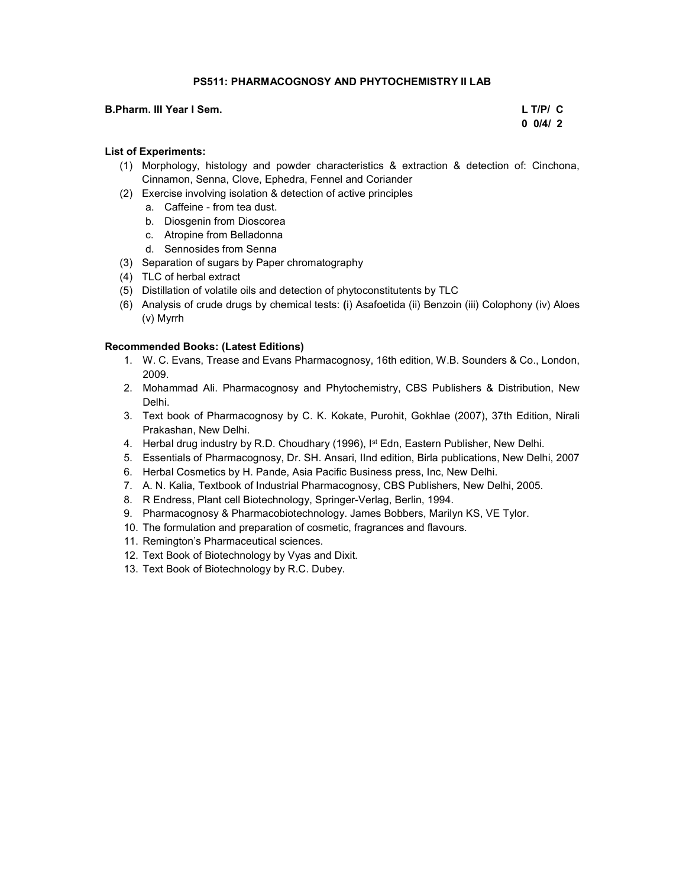## PS511: PHARMACOGNOSY AND PHYTOCHEMISTRY II LAB

#### B.Pharm. III Year I Sem. L T/P/ C

# $0\ 0/4/2$

# List of Experiments:

- (1) Morphology, histology and powder characteristics & extraction & detection of: Cinchona, Cinnamon, Senna, Clove, Ephedra, Fennel and Coriander
- (2) Exercise involving isolation & detection of active principles
	- a. Caffeine from tea dust.
	- b. Diosgenin from Dioscorea
	- c. Atropine from Belladonna
	- d. Sennosides from Senna
- (3) Separation of sugars by Paper chromatography
- (4) TLC of herbal extract
- (5) Distillation of volatile oils and detection of phytoconstitutents by TLC
- (6) Analysis of crude drugs by chemical tests: (i) Asafoetida (ii) Benzoin (iii) Colophony (iv) Aloes (v) Myrrh

# Recommended Books: (Latest Editions)

- 1. W. C. Evans, Trease and Evans Pharmacognosy, 16th edition, W.B. Sounders & Co., London, 2009.
- 2. Mohammad Ali. Pharmacognosy and Phytochemistry, CBS Publishers & Distribution, New Delhi.
- 3. Text book of Pharmacognosy by C. K. Kokate, Purohit, Gokhlae (2007), 37th Edition, Nirali Prakashan, New Delhi.
- 4. Herbal drug industry by R.D. Choudhary (1996), I<sup>st</sup> Edn, Eastern Publisher, New Delhi.
- 5. Essentials of Pharmacognosy, Dr. SH. Ansari, IInd edition, Birla publications, New Delhi, 2007
- 6. Herbal Cosmetics by H. Pande, Asia Pacific Business press, Inc, New Delhi.
- 7. A. N. Kalia, Textbook of Industrial Pharmacognosy, CBS Publishers, New Delhi, 2005.
- 8. R Endress, Plant cell Biotechnology, Springer-Verlag, Berlin, 1994.
- 9. Pharmacognosy & Pharmacobiotechnology. James Bobbers, Marilyn KS, VE Tylor.
- 10. The formulation and preparation of cosmetic, fragrances and flavours.
- 11. Remington's Pharmaceutical sciences.
- 12. Text Book of Biotechnology by Vyas and Dixit.
- 13. Text Book of Biotechnology by R.C. Dubey.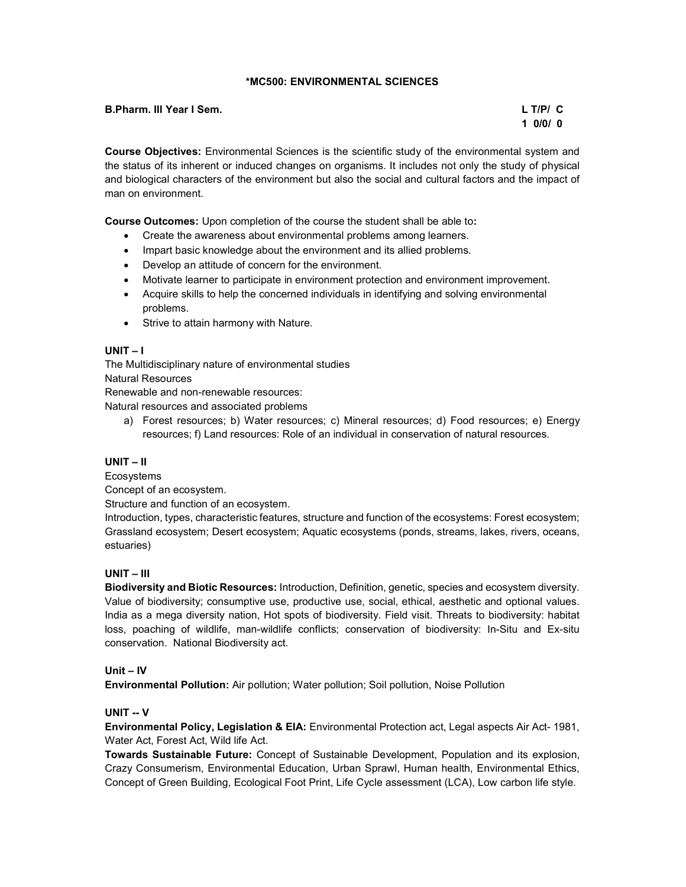# \*MC500: ENVIRONMENTAL SCIENCES

| B.Pharm. III Year I Sem. | $L$ T/P/ $C$ |
|--------------------------|--------------|
|                          | 10/0/0       |

Course Objectives: Environmental Sciences is the scientific study of the environmental system and the status of its inherent or induced changes on organisms. It includes not only the study of physical and biological characters of the environment but also the social and cultural factors and the impact of man on environment.

Course Outcomes: Upon completion of the course the student shall be able to:

- Create the awareness about environmental problems among learners.
- Impart basic knowledge about the environment and its allied problems.
- Develop an attitude of concern for the environment.
- Motivate learner to participate in environment protection and environment improvement.
- Acquire skills to help the concerned individuals in identifying and solving environmental problems.
- Strive to attain harmony with Nature.

# UNIT – I

The Multidisciplinary nature of environmental studies Natural Resources

Renewable and non-renewable resources:

Natural resources and associated problems

a) Forest resources; b) Water resources; c) Mineral resources; d) Food resources; e) Energy resources; f) Land resources: Role of an individual in conservation of natural resources.

# UNIT – II

Ecosystems

Concept of an ecosystem.

Structure and function of an ecosystem.

Introduction, types, characteristic features, structure and function of the ecosystems: Forest ecosystem; Grassland ecosystem; Desert ecosystem; Aquatic ecosystems (ponds, streams, lakes, rivers, oceans, estuaries)

# UNIT – III

Biodiversity and Biotic Resources: Introduction, Definition, genetic, species and ecosystem diversity. Value of biodiversity; consumptive use, productive use, social, ethical, aesthetic and optional values. India as a mega diversity nation, Hot spots of biodiversity. Field visit. Threats to biodiversity: habitat loss, poaching of wildlife, man-wildlife conflicts; conservation of biodiversity: In-Situ and Ex-situ conservation. National Biodiversity act.

# Unit – IV

Environmental Pollution: Air pollution; Water pollution; Soil pollution, Noise Pollution

# UNIT -- V

Environmental Policy, Legislation & EIA: Environmental Protection act, Legal aspects Air Act- 1981, Water Act, Forest Act, Wild life Act.

Towards Sustainable Future: Concept of Sustainable Development, Population and its explosion, Crazy Consumerism, Environmental Education, Urban Sprawl, Human health, Environmental Ethics, Concept of Green Building, Ecological Foot Print, Life Cycle assessment (LCA), Low carbon life style.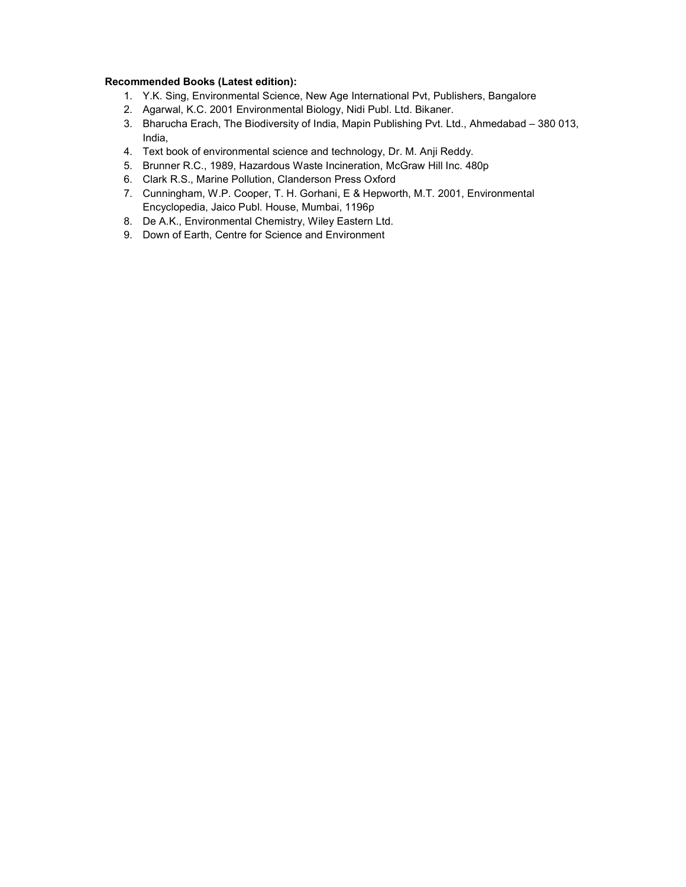### Recommended Books (Latest edition):

- 1. Y.K. Sing, Environmental Science, New Age International Pvt, Publishers, Bangalore
- 2. Agarwal, K.C. 2001 Environmental Biology, Nidi Publ. Ltd. Bikaner.
- 3. Bharucha Erach, The Biodiversity of India, Mapin Publishing Pvt. Ltd., Ahmedabad 380 013, India,
- 4. Text book of environmental science and technology, Dr. M. Anji Reddy.
- 5. Brunner R.C., 1989, Hazardous Waste Incineration, McGraw Hill Inc. 480p
- 6. Clark R.S., Marine Pollution, Clanderson Press Oxford
- 7. Cunningham, W.P. Cooper, T. H. Gorhani, E & Hepworth, M.T. 2001, Environmental Encyclopedia, Jaico Publ. House, Mumbai, 1196p
- 8. De A.K., Environmental Chemistry, Wiley Eastern Ltd.
- 9. Down of Earth, Centre for Science and Environment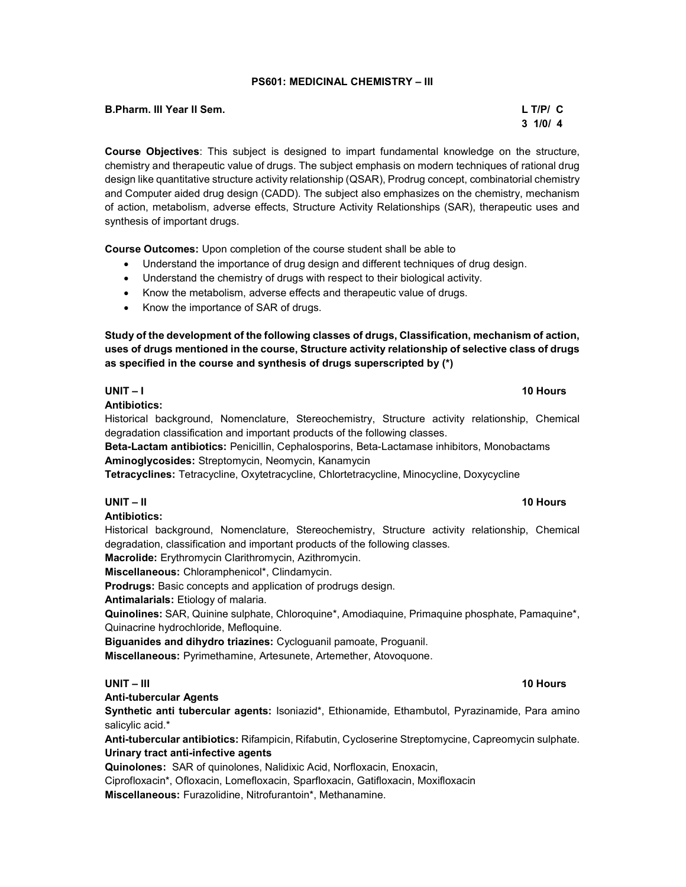#### PS601: MEDICINAL CHEMISTRY – III

| <b>B.Pharm. III Year II Sem.</b> | $L$ T/P/ $C$ |
|----------------------------------|--------------|
|                                  |              |

# $3 \frac{1}{0}$  1/0/ 4

Course Objectives: This subject is designed to impart fundamental knowledge on the structure, chemistry and therapeutic value of drugs. The subject emphasis on modern techniques of rational drug design like quantitative structure activity relationship (QSAR), Prodrug concept, combinatorial chemistry and Computer aided drug design (CADD). The subject also emphasizes on the chemistry, mechanism of action, metabolism, adverse effects, Structure Activity Relationships (SAR), therapeutic uses and synthesis of important drugs.

Course Outcomes: Upon completion of the course student shall be able to

- Understand the importance of drug design and different techniques of drug design.
- Understand the chemistry of drugs with respect to their biological activity.
- Know the metabolism, adverse effects and therapeutic value of drugs.
- Know the importance of SAR of drugs.

Study of the development of the following classes of drugs, Classification, mechanism of action, uses of drugs mentioned in the course, Structure activity relationship of selective class of drugs as specified in the course and synthesis of drugs superscripted by (\*)

### UNIT – I 10 Hours

Antibiotics:

Historical background, Nomenclature, Stereochemistry, Structure activity relationship, Chemical degradation classification and important products of the following classes.

Beta-Lactam antibiotics: Penicillin, Cephalosporins, Beta-Lactamase inhibitors, Monobactams Aminoglycosides: Streptomycin, Neomycin, Kanamycin

Tetracyclines: Tetracycline, Oxytetracycline, Chlortetracycline, Minocycline, Doxycycline

# UNIT – II 10 Hours

# Antibiotics:

Historical background, Nomenclature, Stereochemistry, Structure activity relationship, Chemical degradation, classification and important products of the following classes.

Macrolide: Erythromycin Clarithromycin, Azithromycin.

Miscellaneous: Chloramphenicol\*, Clindamycin.

Prodrugs: Basic concepts and application of prodrugs design.

Antimalarials: Etiology of malaria.

Quinolines: SAR, Quinine sulphate, Chloroquine\*, Amodiaquine, Primaquine phosphate, Pamaquine\*, Quinacrine hydrochloride, Mefloquine.

Biguanides and dihydro triazines: Cycloguanil pamoate, Proguanil.

Miscellaneous: Pyrimethamine, Artesunete, Artemether, Atovoquone.

# UNIT – III 10 Hours – 10 Hours – 10 Hours – 10 Hours – 10 Hours – 10 Hours – 10 Hours

#### Anti-tubercular Agents

Synthetic anti tubercular agents: Isoniazid\*, Ethionamide, Ethambutol, Pyrazinamide, Para amino salicylic acid.\*

Anti-tubercular antibiotics: Rifampicin, Rifabutin, Cycloserine Streptomycine, Capreomycin sulphate. Urinary tract anti-infective agents

Quinolones: SAR of quinolones, Nalidixic Acid, Norfloxacin, Enoxacin,

Ciprofloxacin\*, Ofloxacin, Lomefloxacin, Sparfloxacin, Gatifloxacin, Moxifloxacin

Miscellaneous: Furazolidine, Nitrofurantoin\*, Methanamine.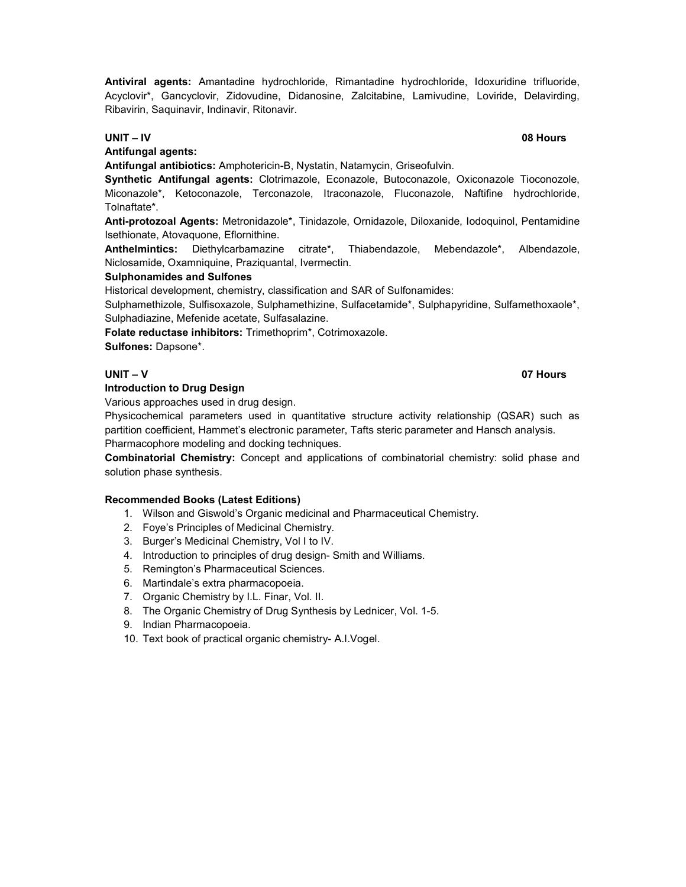Antiviral agents: Amantadine hydrochloride, Rimantadine hydrochloride, Idoxuridine trifluoride, Acyclovir\*, Gancyclovir, Zidovudine, Didanosine, Zalcitabine, Lamivudine, Loviride, Delavirding, Ribavirin, Saquinavir, Indinavir, Ritonavir.

#### UNIT – IV 08 Hours

Antifungal agents:

Antifungal antibiotics: Amphotericin-B, Nystatin, Natamycin, Griseofulvin.

Synthetic Antifungal agents: Clotrimazole, Econazole, Butoconazole, Oxiconazole Tioconozole, Miconazole\*, Ketoconazole, Terconazole, Itraconazole, Fluconazole, Naftifine hydrochloride, Tolnaftate\*.

Anti-protozoal Agents: Metronidazole\*, Tinidazole, Ornidazole, Diloxanide, Iodoquinol, Pentamidine Isethionate, Atovaquone, Eflornithine.

Anthelmintics: Diethylcarbamazine citrate\*, Thiabendazole, Mebendazole\*, Albendazole, Niclosamide, Oxamniquine, Praziquantal, Ivermectin.

### Sulphonamides and Sulfones

Historical development, chemistry, classification and SAR of Sulfonamides:

Sulphamethizole, Sulfisoxazole, Sulphamethizine, Sulfacetamide\*, Sulphapyridine, Sulfamethoxaole\*, Sulphadiazine, Mefenide acetate, Sulfasalazine.

Folate reductase inhibitors: Trimethoprim\*, Cotrimoxazole.

Sulfones: Dapsone\*.

## Introduction to Drug Design

Various approaches used in drug design.

Physicochemical parameters used in quantitative structure activity relationship (QSAR) such as partition coefficient, Hammet's electronic parameter, Tafts steric parameter and Hansch analysis. Pharmacophore modeling and docking techniques.

Combinatorial Chemistry: Concept and applications of combinatorial chemistry: solid phase and solution phase synthesis.

#### Recommended Books (Latest Editions)

1. Wilson and Giswold's Organic medicinal and Pharmaceutical Chemistry.

- 2. Foye's Principles of Medicinal Chemistry.
- 3. Burger's Medicinal Chemistry, Vol I to IV.
- 4. Introduction to principles of drug design- Smith and Williams.
- 5. Remington's Pharmaceutical Sciences.
- 6. Martindale's extra pharmacopoeia.
- 7. Organic Chemistry by I.L. Finar, Vol. II.
- 8. The Organic Chemistry of Drug Synthesis by Lednicer, Vol. 1-5.
- 9. Indian Pharmacopoeia.
- 10. Text book of practical organic chemistry- A.I.Vogel.

# UNIT – V 07 Hours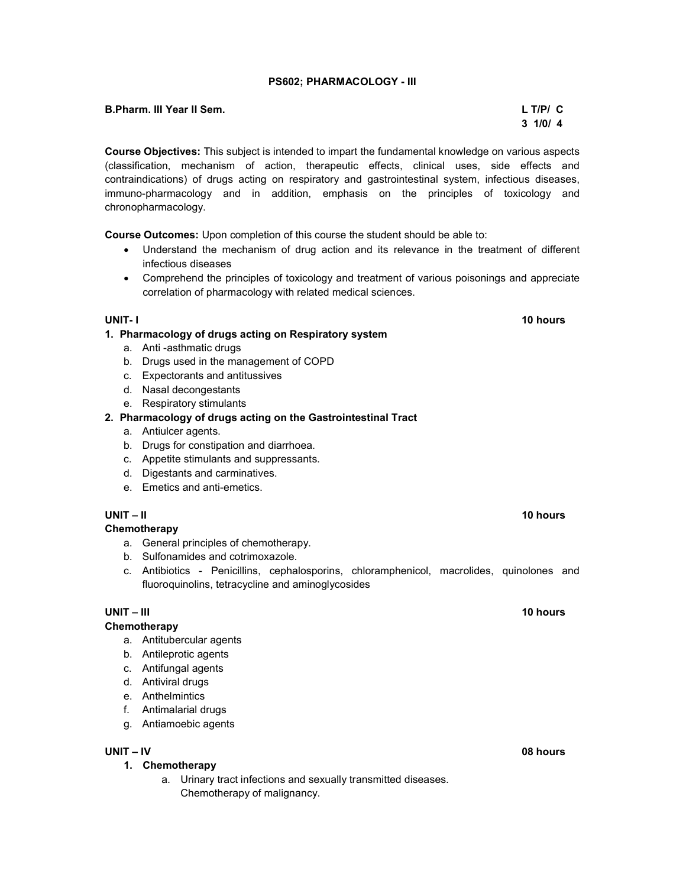# PS602; PHARMACOLOGY - III

# B.Pharm. III Year II Sem. L T/P/ C

Course Objectives: This subject is intended to impart the fundamental knowledge on various aspects (classification, mechanism of action, therapeutic effects, clinical uses, side effects and contraindications) of drugs acting on respiratory and gastrointestinal system, infectious diseases, immuno-pharmacology and in addition, emphasis on the principles of toxicology and chronopharmacology.

Course Outcomes: Upon completion of this course the student should be able to:

- Understand the mechanism of drug action and its relevance in the treatment of different infectious diseases
- Comprehend the principles of toxicology and treatment of various poisonings and appreciate correlation of pharmacology with related medical sciences.

# 1. Pharmacology of drugs acting on Respiratory system

- a. Anti -asthmatic drugs
- b. Drugs used in the management of COPD
- c. Expectorants and antitussives
- d. Nasal decongestants
- e. Respiratory stimulants

### 2. Pharmacology of drugs acting on the Gastrointestinal Tract

- a. Antiulcer agents.
- b. Drugs for constipation and diarrhoea.
- c. Appetite stimulants and suppressants.
- d. Digestants and carminatives.
- e. Emetics and anti-emetics.

# UNIT – II 10 hours

# **Chemotherapy**

- a. General principles of chemotherapy.
- b. Sulfonamides and cotrimoxazole.
- c. Antibiotics Penicillins, cephalosporins, chloramphenicol, macrolides, quinolones and fluoroquinolins, tetracycline and aminoglycosides

# UNIT – III 10 hours and the contract of the contract of the contract of the contract of the contract of the contract of the contract of the contract of the contract of the contract of the contract of the contract of the co

#### **Chemotherapy**

- a. Antitubercular agents
- b. Antileprotic agents
- c. Antifungal agents
- d. Antiviral drugs
- e. Anthelmintics
- f. Antimalarial drugs
- g. Antiamoebic agents

# UNIT – IV 08 hours

- 1. Chemotherapy
	- a. Urinary tract infections and sexually transmitted diseases. Chemotherapy of malignancy.

# UNIT- I 10 hours and the contract of the contract of the contract of the contract of the contract of the contract of the contract of the contract of the contract of the contract of the contract of the contract of the contr

 $3 \frac{1}{0}$  1/0/ 4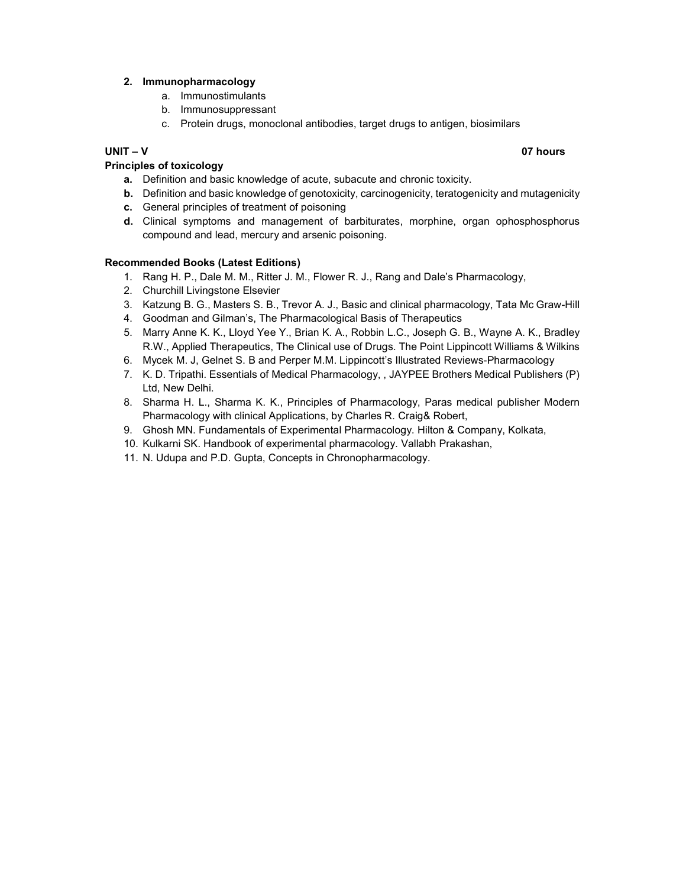# 2. Immunopharmacology

- a. Immunostimulants
- b. Immunosuppressant
- c. Protein drugs, monoclonal antibodies, target drugs to antigen, biosimilars

# UNIT – V 07 hours

# Principles of toxicology

- a. Definition and basic knowledge of acute, subacute and chronic toxicity.
- b. Definition and basic knowledge of genotoxicity, carcinogenicity, teratogenicity and mutagenicity
- c. General principles of treatment of poisoning
- d. Clinical symptoms and management of barbiturates, morphine, organ ophosphosphorus compound and lead, mercury and arsenic poisoning.

# Recommended Books (Latest Editions)

- 1. Rang H. P., Dale M. M., Ritter J. M., Flower R. J., Rang and Dale's Pharmacology,
- 2. Churchill Livingstone Elsevier
- 3. Katzung B. G., Masters S. B., Trevor A. J., Basic and clinical pharmacology, Tata Mc Graw-Hill
- 4. Goodman and Gilman's, The Pharmacological Basis of Therapeutics
- 5. Marry Anne K. K., Lloyd Yee Y., Brian K. A., Robbin L.C., Joseph G. B., Wayne A. K., Bradley R.W., Applied Therapeutics, The Clinical use of Drugs. The Point Lippincott Williams & Wilkins
- 6. Mycek M. J, Gelnet S. B and Perper M.M. Lippincott's Illustrated Reviews-Pharmacology
- 7. K. D. Tripathi. Essentials of Medical Pharmacology, , JAYPEE Brothers Medical Publishers (P) Ltd, New Delhi.
- 8. Sharma H. L., Sharma K. K., Principles of Pharmacology, Paras medical publisher Modern Pharmacology with clinical Applications, by Charles R. Craig& Robert,
- 9. Ghosh MN. Fundamentals of Experimental Pharmacology. Hilton & Company, Kolkata,
- 10. Kulkarni SK. Handbook of experimental pharmacology. Vallabh Prakashan,
- 11. N. Udupa and P.D. Gupta, Concepts in Chronopharmacology.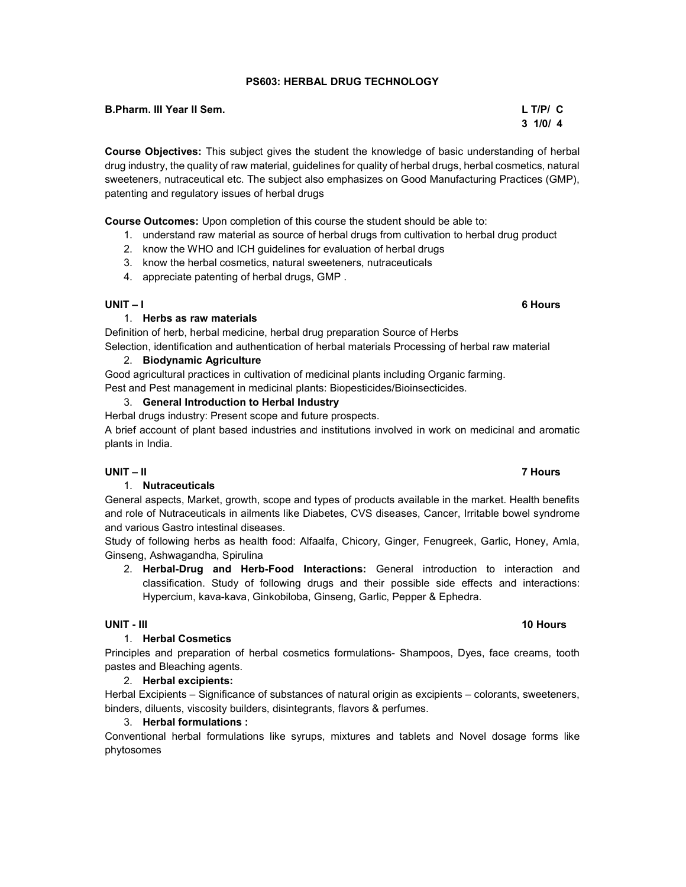# PS603: HERBAL DRUG TECHNOLOGY

## B.Pharm. III Year II Sem. L T/P/ C

Course Objectives: This subject gives the student the knowledge of basic understanding of herbal drug industry, the quality of raw material, guidelines for quality of herbal drugs, herbal cosmetics, natural sweeteners, nutraceutical etc. The subject also emphasizes on Good Manufacturing Practices (GMP), patenting and regulatory issues of herbal drugs

Course Outcomes: Upon completion of this course the student should be able to:

- 1. understand raw material as source of herbal drugs from cultivation to herbal drug product
- 2. know the WHO and ICH guidelines for evaluation of herbal drugs
- 3. know the herbal cosmetics, natural sweeteners, nutraceuticals
- 4. appreciate patenting of herbal drugs, GMP .

### UNIT – I 6 Hours

# 1. Herbs as raw materials

Definition of herb, herbal medicine, herbal drug preparation Source of Herbs

Selection, identification and authentication of herbal materials Processing of herbal raw material

# 2. Biodynamic Agriculture

Good agricultural practices in cultivation of medicinal plants including Organic farming. Pest and Pest management in medicinal plants: Biopesticides/Bioinsecticides.

# 3. General Introduction to Herbal Industry

Herbal drugs industry: Present scope and future prospects.

A brief account of plant based industries and institutions involved in work on medicinal and aromatic plants in India.

# UNIT – II 7 Hours

# 1. Nutraceuticals

General aspects, Market, growth, scope and types of products available in the market. Health benefits and role of Nutraceuticals in ailments like Diabetes, CVS diseases, Cancer, Irritable bowel syndrome and various Gastro intestinal diseases.

Study of following herbs as health food: Alfaalfa, Chicory, Ginger, Fenugreek, Garlic, Honey, Amla, Ginseng, Ashwagandha, Spirulina

2. Herbal-Drug and Herb-Food Interactions: General introduction to interaction and classification. Study of following drugs and their possible side effects and interactions: Hypercium, kava-kava, Ginkobiloba, Ginseng, Garlic, Pepper & Ephedra.

# UNIT - III 10 Hours and the United States of the United States of the United States of the United States of the

# 1. Herbal Cosmetics

Principles and preparation of herbal cosmetics formulations- Shampoos, Dyes, face creams, tooth pastes and Bleaching agents.

# 2. Herbal excipients:

Herbal Excipients – Significance of substances of natural origin as excipients – colorants, sweeteners, binders, diluents, viscosity builders, disintegrants, flavors & perfumes.

# 3. Herbal formulations :

Conventional herbal formulations like syrups, mixtures and tablets and Novel dosage forms like phytosomes

# $3 \frac{1}{0}$  1/0/ 4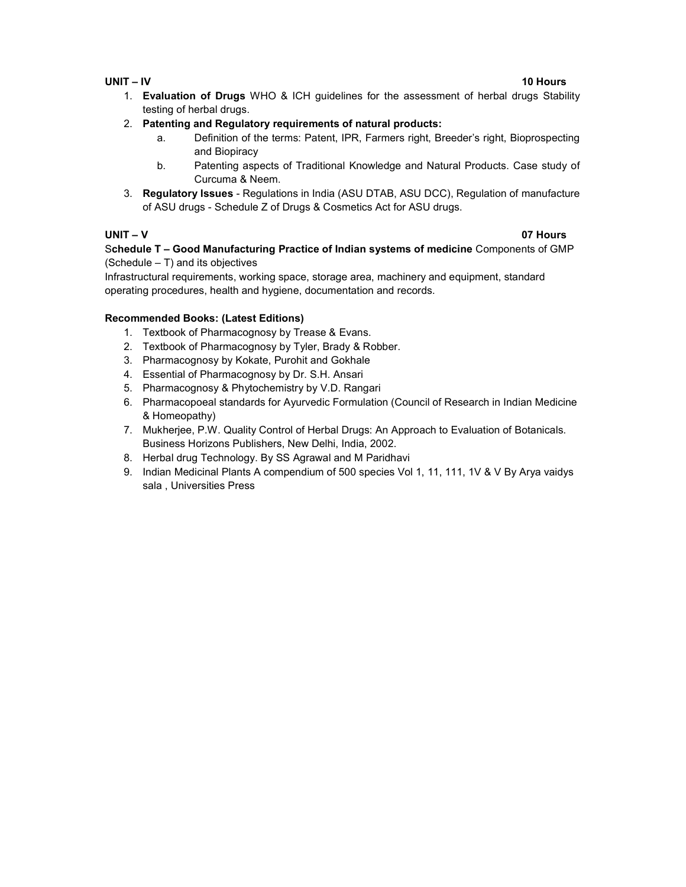# UNIT – IV 10 Hours

# 1. Evaluation of Drugs WHO & ICH guidelines for the assessment of herbal drugs Stability testing of herbal drugs.

# 2. Patenting and Regulatory requirements of natural products:

- a. Definition of the terms: Patent, IPR, Farmers right, Breeder's right, Bioprospecting and Biopiracy
- b. Patenting aspects of Traditional Knowledge and Natural Products. Case study of Curcuma & Neem.
- 3. Regulatory Issues Regulations in India (ASU DTAB, ASU DCC), Regulation of manufacture of ASU drugs - Schedule Z of Drugs & Cosmetics Act for ASU drugs.

### UNIT – V 07 Hours

Schedule T – Good Manufacturing Practice of Indian systems of medicine Components of GMP (Schedule – T) and its objectives

Infrastructural requirements, working space, storage area, machinery and equipment, standard operating procedures, health and hygiene, documentation and records.

# Recommended Books: (Latest Editions)

- 1. Textbook of Pharmacognosy by Trease & Evans.
- 2. Textbook of Pharmacognosy by Tyler, Brady & Robber.
- 3. Pharmacognosy by Kokate, Purohit and Gokhale
- 4. Essential of Pharmacognosy by Dr. S.H. Ansari
- 5. Pharmacognosy & Phytochemistry by V.D. Rangari
- 6. Pharmacopoeal standards for Ayurvedic Formulation (Council of Research in Indian Medicine & Homeopathy)
- 7. Mukherjee, P.W. Quality Control of Herbal Drugs: An Approach to Evaluation of Botanicals. Business Horizons Publishers, New Delhi, India, 2002.
- 8. Herbal drug Technology. By SS Agrawal and M Paridhavi
- 9. Indian Medicinal Plants A compendium of 500 species Vol 1, 11, 111, 1V & V By Arya vaidys sala , Universities Press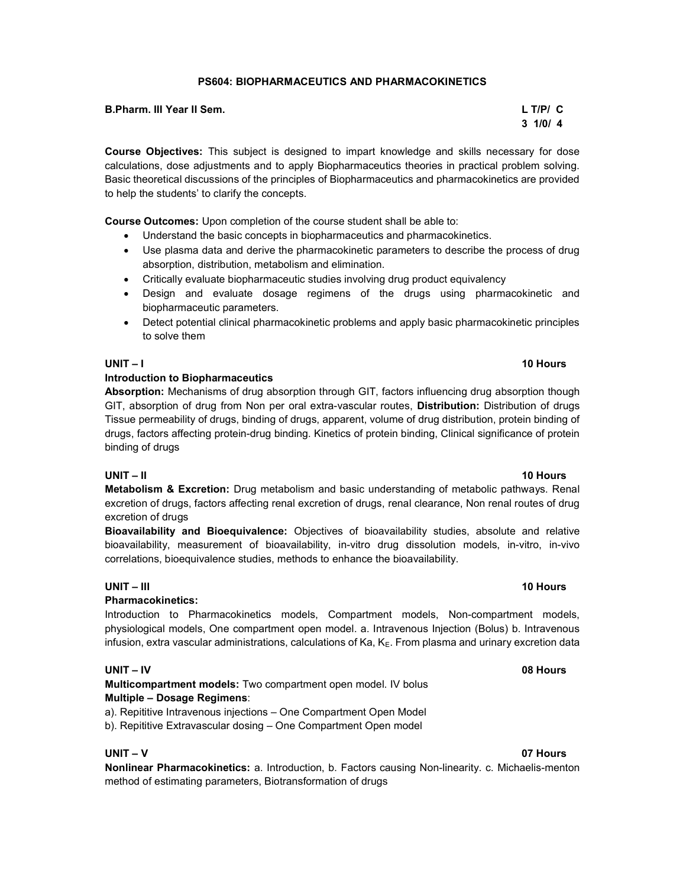# PS604: BIOPHARMACEUTICS AND PHARMACOKINETICS

Course Objectives: This subject is designed to impart knowledge and skills necessary for dose calculations, dose adjustments and to apply Biopharmaceutics theories in practical problem solving. Basic theoretical discussions of the principles of Biopharmaceutics and pharmacokinetics are provided to help the students' to clarify the concepts.

Course Outcomes: Upon completion of the course student shall be able to:

- Understand the basic concepts in biopharmaceutics and pharmacokinetics.
- Use plasma data and derive the pharmacokinetic parameters to describe the process of drug absorption, distribution, metabolism and elimination.
- Critically evaluate biopharmaceutic studies involving drug product equivalency
- Design and evaluate dosage regimens of the drugs using pharmacokinetic and biopharmaceutic parameters.
- Detect potential clinical pharmacokinetic problems and apply basic pharmacokinetic principles to solve them

### Introduction to Biopharmaceutics

Absorption: Mechanisms of drug absorption through GIT, factors influencing drug absorption though GIT, absorption of drug from Non per oral extra-vascular routes, Distribution: Distribution of drugs Tissue permeability of drugs, binding of drugs, apparent, volume of drug distribution, protein binding of drugs, factors affecting protein-drug binding. Kinetics of protein binding, Clinical significance of protein binding of drugs

# UNIT – II 10 Hours

**Metabolism & Excretion:** Drug metabolism and basic understanding of metabolic pathways. Renal excretion of drugs, factors affecting renal excretion of drugs, renal clearance, Non renal routes of drug excretion of drugs

Bioavailability and Bioequivalence: Objectives of bioavailability studies, absolute and relative bioavailability, measurement of bioavailability, in-vitro drug dissolution models, in-vitro, in-vivo correlations, bioequivalence studies, methods to enhance the bioavailability.

# UNIT – III 10 Hours – 10 Hours – 10 Hours – 10 Hours – 10 Hours – 10 Hours – 10 Hours

# Pharmacokinetics:

Introduction to Pharmacokinetics models, Compartment models, Non-compartment models, physiological models, One compartment open model. a. Intravenous Injection (Bolus) b. Intravenous infusion, extra vascular administrations, calculations of Ka,  $K<sub>E</sub>$ . From plasma and urinary excretion data

# UNIT – IV 08 Hours

Multicompartment models: Two compartment open model. IV bolus Multiple – Dosage Regimens:

a). Repititive Intravenous injections – One Compartment Open Model

b). Repititive Extravascular dosing – One Compartment Open model

Nonlinear Pharmacokinetics: a. Introduction, b. Factors causing Non-linearity. c. Michaelis-menton method of estimating parameters, Biotransformation of drugs

#### UNIT – V 07 Hours

### UNIT – I 10 Hours

# $3 \frac{1}{0}$  1/0/ 4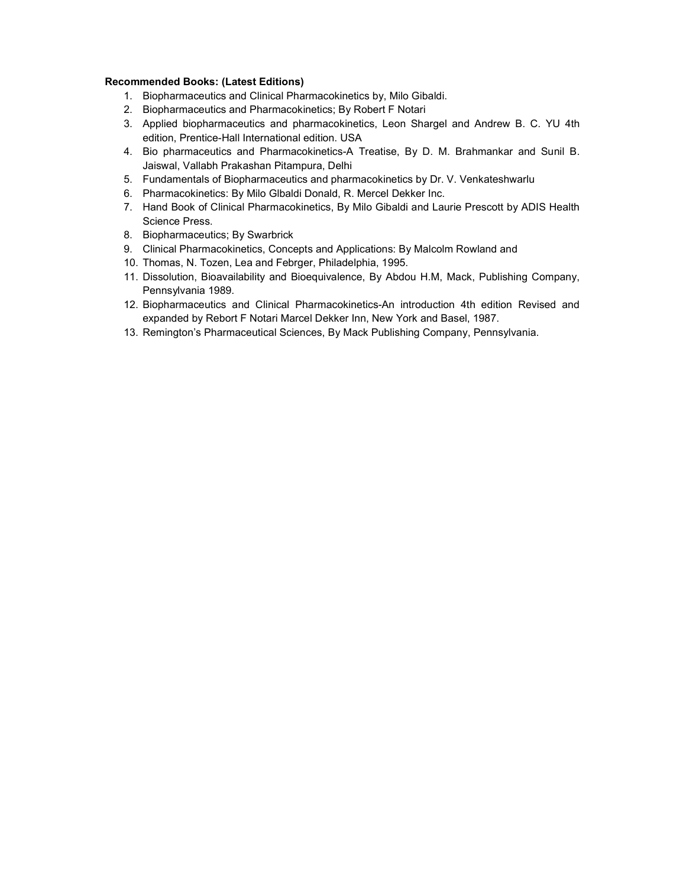### Recommended Books: (Latest Editions)

- 1. Biopharmaceutics and Clinical Pharmacokinetics by, Milo Gibaldi.
- 2. Biopharmaceutics and Pharmacokinetics; By Robert F Notari
- 3. Applied biopharmaceutics and pharmacokinetics, Leon Shargel and Andrew B. C. YU 4th edition, Prentice-Hall International edition. USA
- 4. Bio pharmaceutics and Pharmacokinetics-A Treatise, By D. M. Brahmankar and Sunil B. Jaiswal, Vallabh Prakashan Pitampura, Delhi
- 5. Fundamentals of Biopharmaceutics and pharmacokinetics by Dr. V. Venkateshwarlu
- 6. Pharmacokinetics: By Milo Glbaldi Donald, R. Mercel Dekker Inc.
- 7. Hand Book of Clinical Pharmacokinetics, By Milo Gibaldi and Laurie Prescott by ADIS Health Science Press.
- 8. Biopharmaceutics; By Swarbrick
- 9. Clinical Pharmacokinetics, Concepts and Applications: By Malcolm Rowland and
- 10. Thomas, N. Tozen, Lea and Febrger, Philadelphia, 1995.
- 11. Dissolution, Bioavailability and Bioequivalence, By Abdou H.M, Mack, Publishing Company, Pennsylvania 1989.
- 12. Biopharmaceutics and Clinical Pharmacokinetics-An introduction 4th edition Revised and expanded by Rebort F Notari Marcel Dekker Inn, New York and Basel, 1987.
- 13. Remington's Pharmaceutical Sciences, By Mack Publishing Company, Pennsylvania.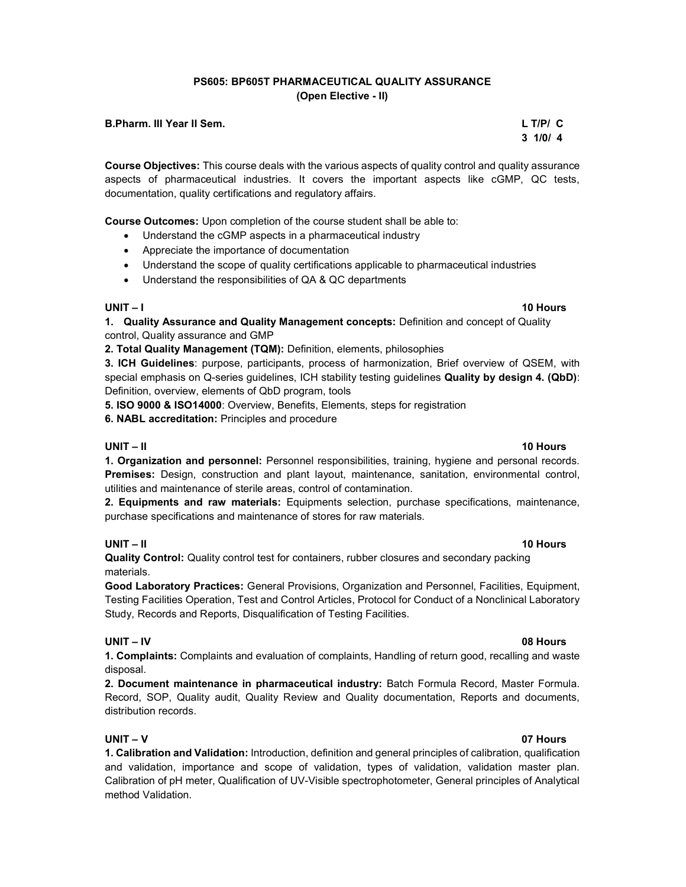# PS605: BP605T PHARMACEUTICAL QUALITY ASSURANCE (Open Elective - II)

 $3 \frac{1}{0}$  1/0/ 4

#### B.Pharm. III Year II Sem. L T/P/ C

Course Objectives: This course deals with the various aspects of quality control and quality assurance aspects of pharmaceutical industries. It covers the important aspects like cGMP, QC tests, documentation, quality certifications and regulatory affairs.

Course Outcomes: Upon completion of the course student shall be able to:

- Understand the cGMP aspects in a pharmaceutical industry
- Appreciate the importance of documentation
- Understand the scope of quality certifications applicable to pharmaceutical industries
- Understand the responsibilities of QA & QC departments

# UNIT – I 10 Hours

1. Quality Assurance and Quality Management concepts: Definition and concept of Quality control, Quality assurance and GMP

2. Total Quality Management (TQM): Definition, elements, philosophies

3. ICH Guidelines: purpose, participants, process of harmonization, Brief overview of QSEM, with special emphasis on Q-series quidelines, ICH stability testing quidelines Quality by design 4. (QbD): Definition, overview, elements of QbD program, tools

5. ISO 9000 & ISO14000: Overview, Benefits, Elements, steps for registration

6. NABL accreditation: Principles and procedure

# UNIT – II 10 Hours

1. Organization and personnel: Personnel responsibilities, training, hygiene and personal records. Premises: Design, construction and plant layout, maintenance, sanitation, environmental control, utilities and maintenance of sterile areas, control of contamination.

2. Equipments and raw materials: Equipments selection, purchase specifications, maintenance, purchase specifications and maintenance of stores for raw materials.

# UNIT – II 10 Hours

Quality Control: Quality control test for containers, rubber closures and secondary packing materials.

Good Laboratory Practices: General Provisions, Organization and Personnel, Facilities, Equipment, Testing Facilities Operation, Test and Control Articles, Protocol for Conduct of a Nonclinical Laboratory Study, Records and Reports, Disqualification of Testing Facilities.

# UNIT – IV 08 Hours

1. Complaints: Complaints and evaluation of complaints, Handling of return good, recalling and waste disposal.

2. Document maintenance in pharmaceutical industry: Batch Formula Record, Master Formula. Record, SOP, Quality audit, Quality Review and Quality documentation, Reports and documents, distribution records.

# UNIT – V 07 Hours

1. Calibration and Validation: Introduction, definition and general principles of calibration, qualification and validation, importance and scope of validation, types of validation, validation master plan. Calibration of pH meter, Qualification of UV-Visible spectrophotometer, General principles of Analytical method Validation.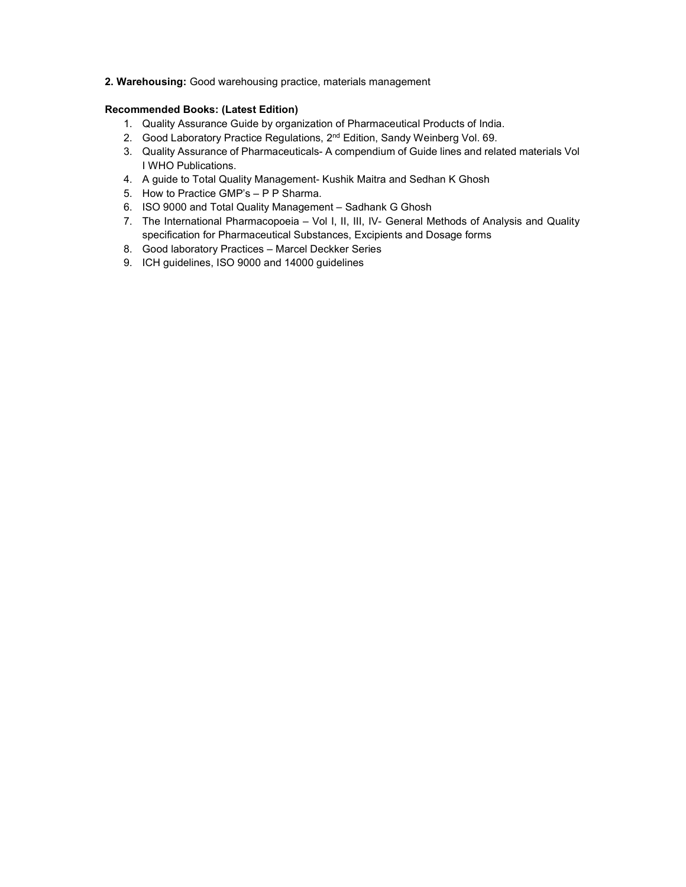## 2. Warehousing: Good warehousing practice, materials management

### Recommended Books: (Latest Edition)

- 1. Quality Assurance Guide by organization of Pharmaceutical Products of India.
- 2. Good Laboratory Practice Regulations, 2<sup>nd</sup> Edition, Sandy Weinberg Vol. 69.
- 3. Quality Assurance of Pharmaceuticals- A compendium of Guide lines and related materials Vol I WHO Publications.
- 4. A guide to Total Quality Management- Kushik Maitra and Sedhan K Ghosh
- 5. How to Practice GMP's P P Sharma.
- 6. ISO 9000 and Total Quality Management Sadhank G Ghosh
- 7. The International Pharmacopoeia Vol I, II, III, IV- General Methods of Analysis and Quality specification for Pharmaceutical Substances, Excipients and Dosage forms
- 8. Good laboratory Practices Marcel Deckker Series
- 9. ICH guidelines, ISO 9000 and 14000 guidelines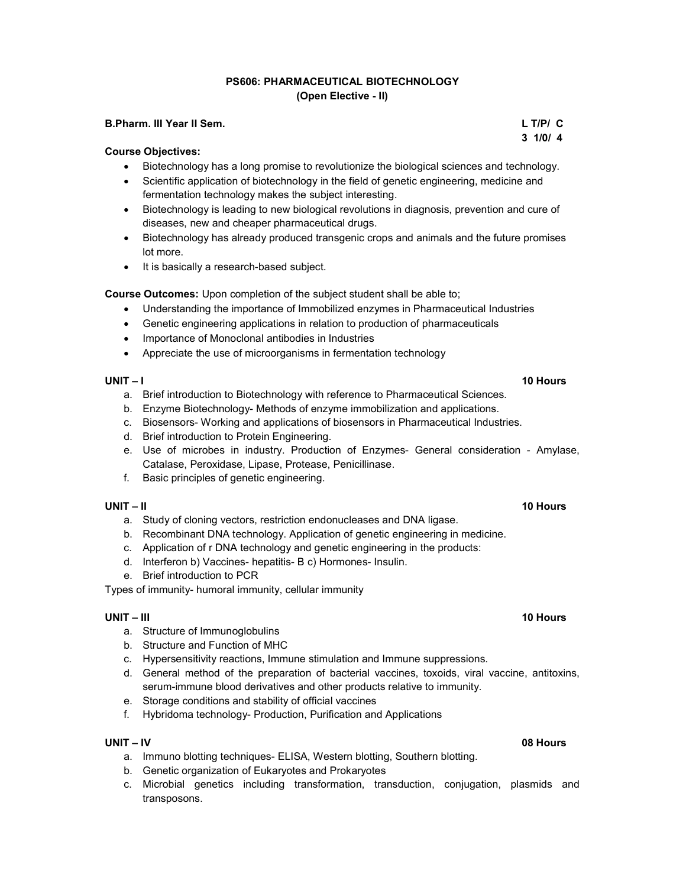# PS606: PHARMACEUTICAL BIOTECHNOLOGY (Open Elective - II)

### B.Pharm. III Year II Sem. L T/P/ C

### Course Objectives:

- Biotechnology has a long promise to revolutionize the biological sciences and technology.
- Scientific application of biotechnology in the field of genetic engineering, medicine and fermentation technology makes the subject interesting.
- Biotechnology is leading to new biological revolutions in diagnosis, prevention and cure of diseases, new and cheaper pharmaceutical drugs.
- Biotechnology has already produced transgenic crops and animals and the future promises lot more.
- It is basically a research-based subject.

Course Outcomes: Upon completion of the subject student shall be able to;

- Understanding the importance of Immobilized enzymes in Pharmaceutical Industries
- Genetic engineering applications in relation to production of pharmaceuticals
- Importance of Monoclonal antibodies in Industries
- Appreciate the use of microorganisms in fermentation technology

### UNIT – I 10 Hours

- a. Brief introduction to Biotechnology with reference to Pharmaceutical Sciences.
- b. Enzyme Biotechnology- Methods of enzyme immobilization and applications.
- c. Biosensors- Working and applications of biosensors in Pharmaceutical Industries.
- d. Brief introduction to Protein Engineering.
- e. Use of microbes in industry. Production of Enzymes- General consideration Amylase, Catalase, Peroxidase, Lipase, Protease, Penicillinase.
- f. Basic principles of genetic engineering.

- a. Study of cloning vectors, restriction endonucleases and DNA ligase.
- b. Recombinant DNA technology. Application of genetic engineering in medicine.
- c. Application of r DNA technology and genetic engineering in the products:
- d. Interferon b) Vaccines- hepatitis- B c) Hormones- Insulin.
- e. Brief introduction to PCR

Types of immunity- humoral immunity, cellular immunity

#### UNIT – III 10 Hours – 10 Hours – 10 Hours – 10 Hours – 10 Hours – 10 Hours – 10 Hours

- a. Structure of Immunoglobulins
- b. Structure and Function of MHC
- c. Hypersensitivity reactions, Immune stimulation and Immune suppressions.
- d. General method of the preparation of bacterial vaccines, toxoids, viral vaccine, antitoxins, serum-immune blood derivatives and other products relative to immunity.
- e. Storage conditions and stability of official vaccines
- f. Hybridoma technology- Production, Purification and Applications

#### UNIT – IV 08 Hours

- a. Immuno blotting techniques- ELISA, Western blotting, Southern blotting.
- b. Genetic organization of Eukaryotes and Prokaryotes
- c. Microbial genetics including transformation, transduction, conjugation, plasmids and transposons.

#### UNIT – II 10 Hours

# $3 \frac{1}{0}$  1/0/ 4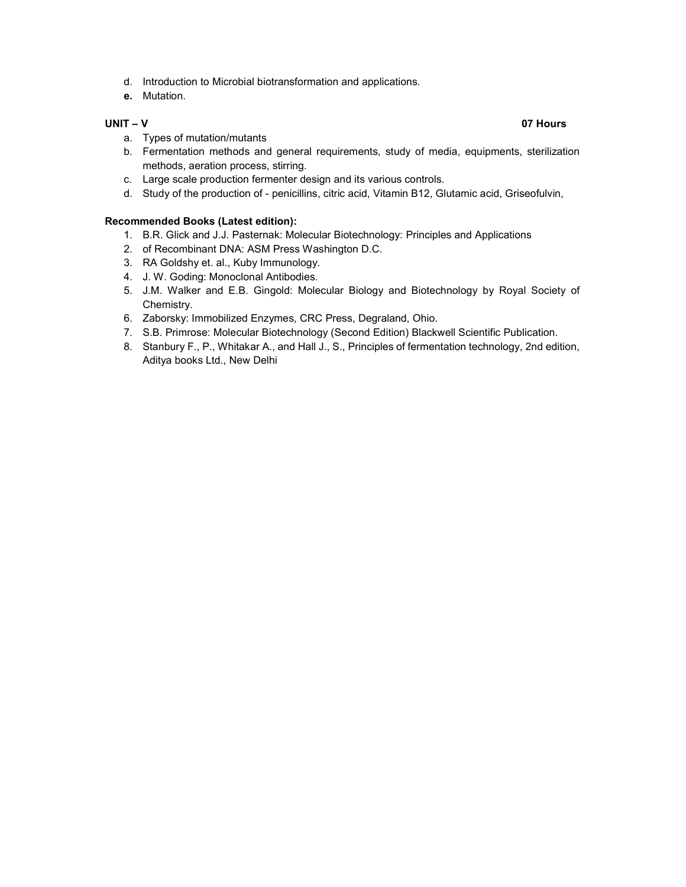- d. Introduction to Microbial biotransformation and applications.
- e. Mutation.

#### UNIT – V 07 Hours

- a. Types of mutation/mutants
- b. Fermentation methods and general requirements, study of media, equipments, sterilization methods, aeration process, stirring.
- c. Large scale production fermenter design and its various controls.
- d. Study of the production of penicillins, citric acid, Vitamin B12, Glutamic acid, Griseofulvin,

## Recommended Books (Latest edition):

- 1. B.R. Glick and J.J. Pasternak: Molecular Biotechnology: Principles and Applications
- 2. of Recombinant DNA: ASM Press Washington D.C.
- 3. RA Goldshy et. al., Kuby Immunology.
- 4. J. W. Goding: Monoclonal Antibodies.
- 5. J.M. Walker and E.B. Gingold: Molecular Biology and Biotechnology by Royal Society of Chemistry.
- 6. Zaborsky: Immobilized Enzymes, CRC Press, Degraland, Ohio.
- 7. S.B. Primrose: Molecular Biotechnology (Second Edition) Blackwell Scientific Publication.
- 8. Stanbury F., P., Whitakar A., and Hall J., S., Principles of fermentation technology, 2nd edition, Aditya books Ltd., New Delhi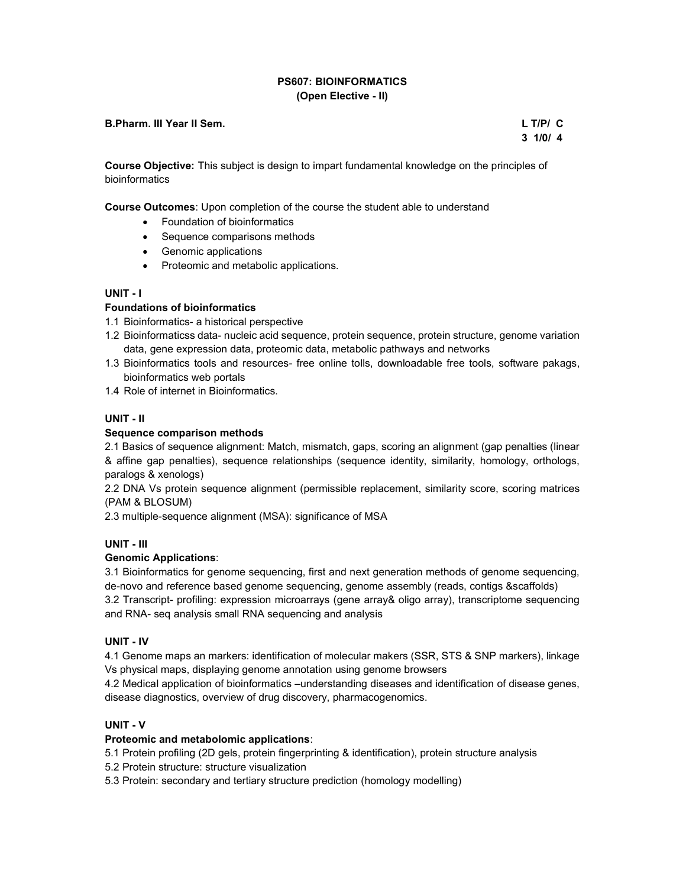# PS607: BIOINFORMATICS (Open Elective - II)

## B.Pharm. III Year II Sem. L T/P/ C

 $3 \frac{1}{0}$  1/0/ 4

Course Objective: This subject is design to impart fundamental knowledge on the principles of bioinformatics

Course Outcomes: Upon completion of the course the student able to understand

- Foundation of bioinformatics
- Sequence comparisons methods
- Genomic applications
- Proteomic and metabolic applications.

### UNIT - I

#### Foundations of bioinformatics

- 1.1 Bioinformatics- a historical perspective
- 1.2 Bioinformaticss data- nucleic acid sequence, protein sequence, protein structure, genome variation data, gene expression data, proteomic data, metabolic pathways and networks
- 1.3 Bioinformatics tools and resources- free online tolls, downloadable free tools, software pakags, bioinformatics web portals
- 1.4 Role of internet in Bioinformatics.

# UNIT - II

### Sequence comparison methods

2.1 Basics of sequence alignment: Match, mismatch, gaps, scoring an alignment (gap penalties (linear & affine gap penalties), sequence relationships (sequence identity, similarity, homology, orthologs, paralogs & xenologs)

2.2 DNA Vs protein sequence alignment (permissible replacement, similarity score, scoring matrices (PAM & BLOSUM)

2.3 multiple-sequence alignment (MSA): significance of MSA

# UNIT - III

#### Genomic Applications:

3.1 Bioinformatics for genome sequencing, first and next generation methods of genome sequencing, de-novo and reference based genome sequencing, genome assembly (reads, contigs &scaffolds) 3.2 Transcript- profiling: expression microarrays (gene array& oligo array), transcriptome sequencing

and RNA- seq analysis small RNA sequencing and analysis

### UNIT - IV

4.1 Genome maps an markers: identification of molecular makers (SSR, STS & SNP markers), linkage Vs physical maps, displaying genome annotation using genome browsers

4.2 Medical application of bioinformatics –understanding diseases and identification of disease genes, disease diagnostics, overview of drug discovery, pharmacogenomics.

# UNIT - V

#### Proteomic and metabolomic applications:

5.1 Protein profiling (2D gels, protein fingerprinting & identification), protein structure analysis

5.2 Protein structure: structure visualization

5.3 Protein: secondary and tertiary structure prediction (homology modelling)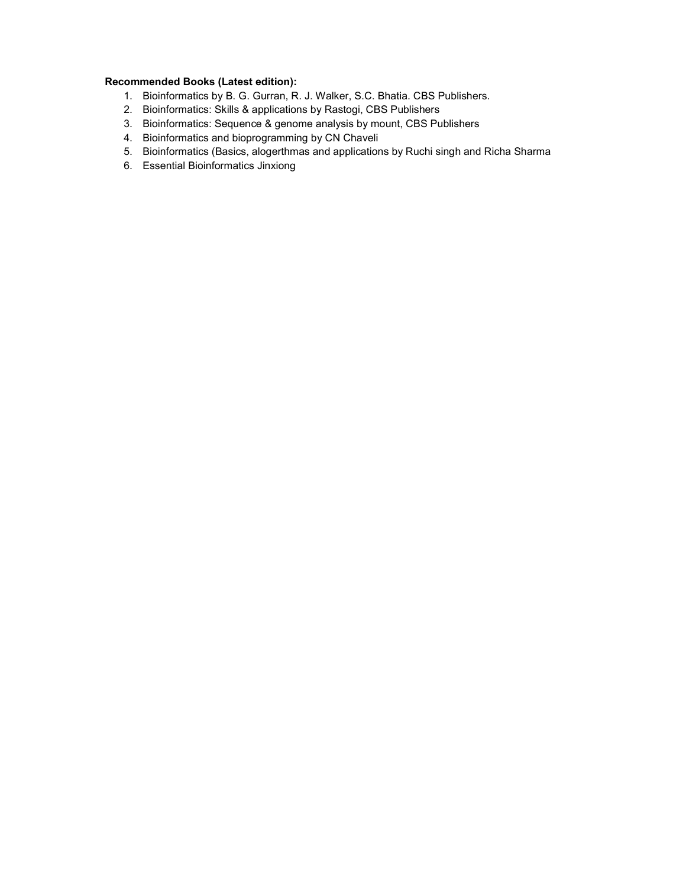# Recommended Books (Latest edition):

- 1. Bioinformatics by B. G. Gurran, R. J. Walker, S.C. Bhatia. CBS Publishers.
- 2. Bioinformatics: Skills & applications by Rastogi, CBS Publishers
- 3. Bioinformatics: Sequence & genome analysis by mount, CBS Publishers
- 4. Bioinformatics and bioprogramming by CN Chaveli
- 5. Bioinformatics (Basics, alogerthmas and applications by Ruchi singh and Richa Sharma
- 6. Essential Bioinformatics Jinxiong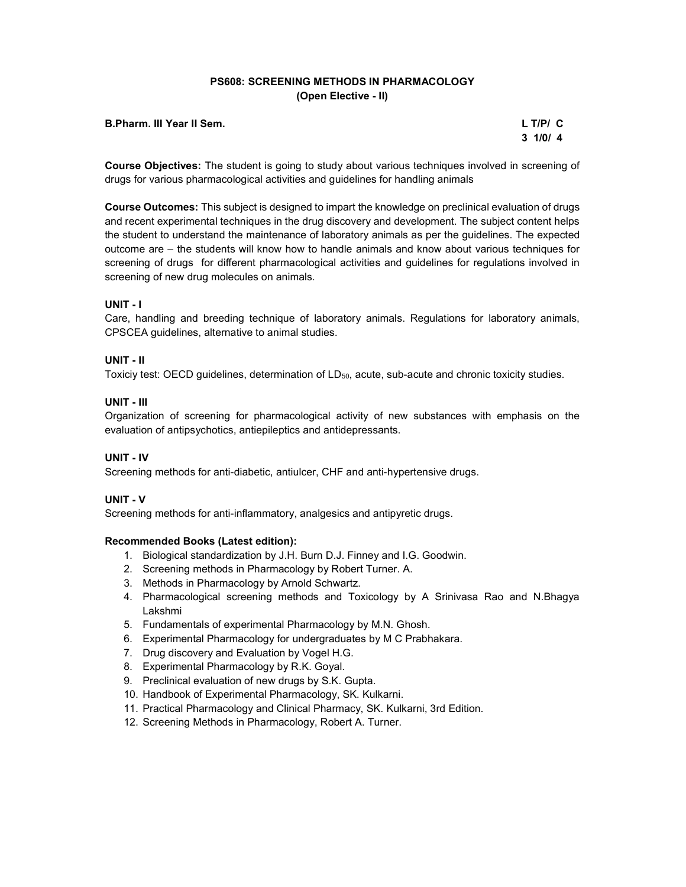# PS608: SCREENING METHODS IN PHARMACOLOGY (Open Elective - II)

#### B.Pharm. III Year II Sem. L T/P/ C

 $3 \frac{1}{0}$  1/0/ 4

Course Objectives: The student is going to study about various techniques involved in screening of drugs for various pharmacological activities and guidelines for handling animals

Course Outcomes: This subject is designed to impart the knowledge on preclinical evaluation of drugs and recent experimental techniques in the drug discovery and development. The subject content helps the student to understand the maintenance of laboratory animals as per the guidelines. The expected outcome are – the students will know how to handle animals and know about various techniques for screening of drugs for different pharmacological activities and guidelines for regulations involved in screening of new drug molecules on animals.

### UNIT - I

Care, handling and breeding technique of laboratory animals. Regulations for laboratory animals, CPSCEA guidelines, alternative to animal studies.

### UNIT - II

Toxiciy test: OECD guidelines, determination of  $LD_{50}$ , acute, sub-acute and chronic toxicity studies.

#### UNIT - III

Organization of screening for pharmacological activity of new substances with emphasis on the evaluation of antipsychotics, antiepileptics and antidepressants.

# UNIT - IV

Screening methods for anti-diabetic, antiulcer, CHF and anti-hypertensive drugs.

### UNIT - V

Screening methods for anti-inflammatory, analgesics and antipyretic drugs.

### Recommended Books (Latest edition):

- 1. Biological standardization by J.H. Burn D.J. Finney and I.G. Goodwin.
- 2. Screening methods in Pharmacology by Robert Turner. A.
- 3. Methods in Pharmacology by Arnold Schwartz.
- 4. Pharmacological screening methods and Toxicology by A Srinivasa Rao and N.Bhagya Lakshmi
- 5. Fundamentals of experimental Pharmacology by M.N. Ghosh.
- 6. Experimental Pharmacology for undergraduates by M C Prabhakara.
- 7. Drug discovery and Evaluation by Vogel H.G.
- 8. Experimental Pharmacology by R.K. Goyal.
- 9. Preclinical evaluation of new drugs by S.K. Gupta.
- 10. Handbook of Experimental Pharmacology, SK. Kulkarni.
- 11. Practical Pharmacology and Clinical Pharmacy, SK. Kulkarni, 3rd Edition.
- 12. Screening Methods in Pharmacology, Robert A. Turner.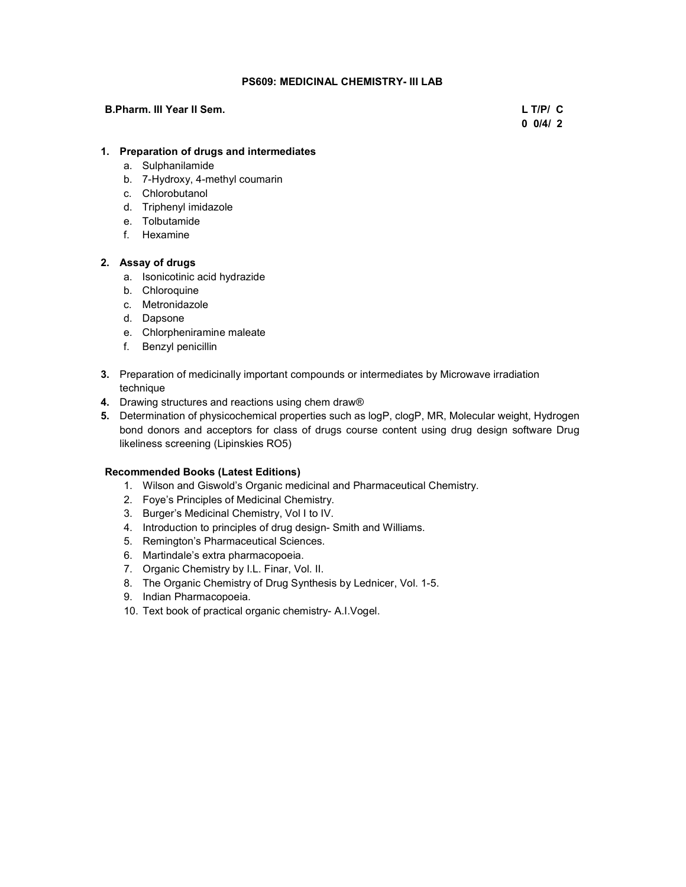# PS609: MEDICINAL CHEMISTRY- III LAB

#### B.Pharm. III Year II Sem. L T/P/ C

 $0\ 0/4/2$ 

# 1. Preparation of drugs and intermediates

- a. Sulphanilamide
- b. 7-Hydroxy, 4-methyl coumarin
- c. Chlorobutanol
- d. Triphenyl imidazole
- e. Tolbutamide
- f. Hexamine

# 2. Assay of drugs

- a. Isonicotinic acid hydrazide
- b. Chloroquine
- c. Metronidazole
- d. Dapsone
- e. Chlorpheniramine maleate
- f. Benzyl penicillin
- 3. Preparation of medicinally important compounds or intermediates by Microwave irradiation technique
- 4. Drawing structures and reactions using chem draw®
- 5. Determination of physicochemical properties such as logP, clogP, MR, Molecular weight, Hydrogen bond donors and acceptors for class of drugs course content using drug design software Drug likeliness screening (Lipinskies RO5)

# Recommended Books (Latest Editions)

- 1. Wilson and Giswold's Organic medicinal and Pharmaceutical Chemistry.
- 2. Foye's Principles of Medicinal Chemistry.
- 3. Burger's Medicinal Chemistry, Vol I to IV.
- 4. Introduction to principles of drug design- Smith and Williams.
- 5. Remington's Pharmaceutical Sciences.
- 6. Martindale's extra pharmacopoeia.
- 7. Organic Chemistry by I.L. Finar, Vol. II.
- 8. The Organic Chemistry of Drug Synthesis by Lednicer, Vol. 1-5.
- 9. Indian Pharmacopoeia.
- 10. Text book of practical organic chemistry- A.I.Vogel.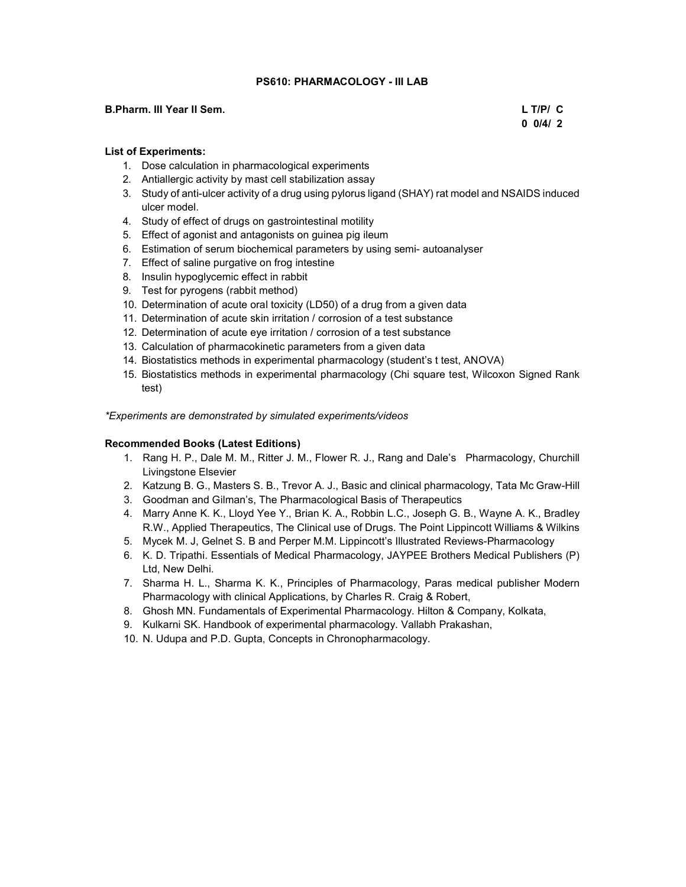### PS610: PHARMACOLOGY - III LAB

#### B.Pharm. III Year II Sem. L T/P/ C

 $0\ 0/4/2$ 

## List of Experiments:

- 1. Dose calculation in pharmacological experiments
- 2. Antiallergic activity by mast cell stabilization assay
- 3. Study of anti-ulcer activity of a drug using pylorus ligand (SHAY) rat model and NSAIDS induced ulcer model.
- 4. Study of effect of drugs on gastrointestinal motility
- 5. Effect of agonist and antagonists on guinea pig ileum
- 6. Estimation of serum biochemical parameters by using semi- autoanalyser
- 7. Effect of saline purgative on frog intestine
- 8. Insulin hypoglycemic effect in rabbit
- 9. Test for pyrogens (rabbit method)
- 10. Determination of acute oral toxicity (LD50) of a drug from a given data
- 11. Determination of acute skin irritation / corrosion of a test substance
- 12. Determination of acute eye irritation / corrosion of a test substance
- 13. Calculation of pharmacokinetic parameters from a given data
- 14. Biostatistics methods in experimental pharmacology (student's t test, ANOVA)
- 15. Biostatistics methods in experimental pharmacology (Chi square test, Wilcoxon Signed Rank test)

\*Experiments are demonstrated by simulated experiments/videos

### Recommended Books (Latest Editions)

- 1. Rang H. P., Dale M. M., Ritter J. M., Flower R. J., Rang and Dale's Pharmacology, Churchill Livingstone Elsevier
- 2. Katzung B. G., Masters S. B., Trevor A. J., Basic and clinical pharmacology, Tata Mc Graw-Hill
- 3. Goodman and Gilman's, The Pharmacological Basis of Therapeutics
- 4. Marry Anne K. K., Lloyd Yee Y., Brian K. A., Robbin L.C., Joseph G. B., Wayne A. K., Bradley R.W., Applied Therapeutics, The Clinical use of Drugs. The Point Lippincott Williams & Wilkins
- 5. Mycek M. J, Gelnet S. B and Perper M.M. Lippincott's Illustrated Reviews-Pharmacology
- 6. K. D. Tripathi. Essentials of Medical Pharmacology, JAYPEE Brothers Medical Publishers (P) Ltd, New Delhi.
- 7. Sharma H. L., Sharma K. K., Principles of Pharmacology, Paras medical publisher Modern Pharmacology with clinical Applications, by Charles R. Craig & Robert,
- 8. Ghosh MN. Fundamentals of Experimental Pharmacology. Hilton & Company, Kolkata,
- 9. Kulkarni SK. Handbook of experimental pharmacology. Vallabh Prakashan,
- 10. N. Udupa and P.D. Gupta, Concepts in Chronopharmacology.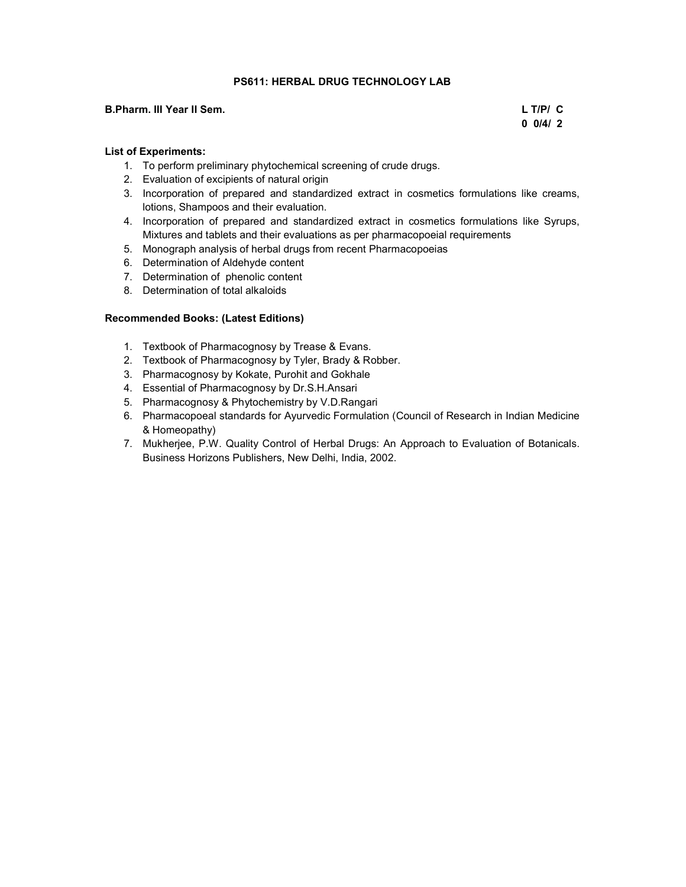# PS611: HERBAL DRUG TECHNOLOGY LAB

#### B.Pharm. III Year II Sem. L T/P/ C

 $0\ 0/4/2$ 

### List of Experiments:

- 1. To perform preliminary phytochemical screening of crude drugs.
- 2. Evaluation of excipients of natural origin
- 3. Incorporation of prepared and standardized extract in cosmetics formulations like creams, lotions, Shampoos and their evaluation.
- 4. Incorporation of prepared and standardized extract in cosmetics formulations like Syrups, Mixtures and tablets and their evaluations as per pharmacopoeial requirements
- 5. Monograph analysis of herbal drugs from recent Pharmacopoeias
- 6. Determination of Aldehyde content
- 7. Determination of phenolic content
- 8. Determination of total alkaloids

#### Recommended Books: (Latest Editions)

- 1. Textbook of Pharmacognosy by Trease & Evans.
- 2. Textbook of Pharmacognosy by Tyler, Brady & Robber.
- 3. Pharmacognosy by Kokate, Purohit and Gokhale
- 4. Essential of Pharmacognosy by Dr.S.H.Ansari
- 5. Pharmacognosy & Phytochemistry by V.D.Rangari
- 6. Pharmacopoeal standards for Ayurvedic Formulation (Council of Research in Indian Medicine & Homeopathy)
- 7. Mukherjee, P.W. Quality Control of Herbal Drugs: An Approach to Evaluation of Botanicals. Business Horizons Publishers, New Delhi, India, 2002.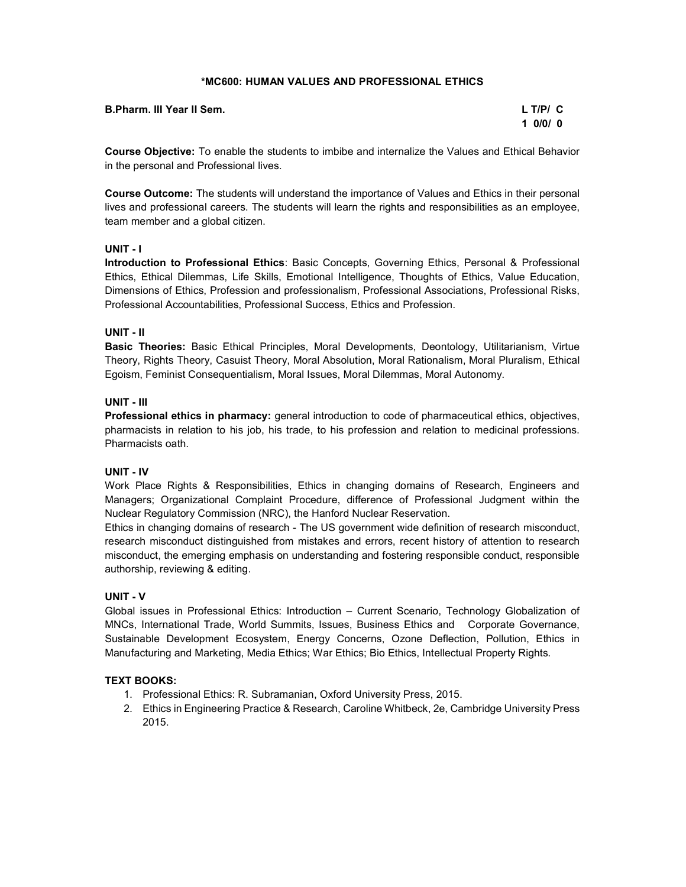# \*MC600: HUMAN VALUES AND PROFESSIONAL ETHICS

| <b>B.Pharm. III Year II Sem.</b> | $L$ T/P/ $C$ |
|----------------------------------|--------------|
|                                  | 1 0/0/0      |

Course Objective: To enable the students to imbibe and internalize the Values and Ethical Behavior in the personal and Professional lives.

Course Outcome: The students will understand the importance of Values and Ethics in their personal lives and professional careers. The students will learn the rights and responsibilities as an employee, team member and a global citizen.

### UNIT - I

Introduction to Professional Ethics: Basic Concepts, Governing Ethics, Personal & Professional Ethics, Ethical Dilemmas, Life Skills, Emotional Intelligence, Thoughts of Ethics, Value Education, Dimensions of Ethics, Profession and professionalism, Professional Associations, Professional Risks, Professional Accountabilities, Professional Success, Ethics and Profession.

# UNIT - II

Basic Theories: Basic Ethical Principles, Moral Developments, Deontology, Utilitarianism, Virtue Theory, Rights Theory, Casuist Theory, Moral Absolution, Moral Rationalism, Moral Pluralism, Ethical Egoism, Feminist Consequentialism, Moral Issues, Moral Dilemmas, Moral Autonomy.

### UNIT - III

Professional ethics in pharmacy: general introduction to code of pharmaceutical ethics, objectives, pharmacists in relation to his job, his trade, to his profession and relation to medicinal professions. Pharmacists oath.

# UNIT - IV

Work Place Rights & Responsibilities, Ethics in changing domains of Research, Engineers and Managers; Organizational Complaint Procedure, difference of Professional Judgment within the Nuclear Regulatory Commission (NRC), the Hanford Nuclear Reservation.

Ethics in changing domains of research - The US government wide definition of research misconduct, research misconduct distinguished from mistakes and errors, recent history of attention to research misconduct, the emerging emphasis on understanding and fostering responsible conduct, responsible authorship, reviewing & editing.

# UNIT - V

Global issues in Professional Ethics: Introduction – Current Scenario, Technology Globalization of MNCs, International Trade, World Summits, Issues, Business Ethics and Corporate Governance, Sustainable Development Ecosystem, Energy Concerns, Ozone Deflection, Pollution, Ethics in Manufacturing and Marketing, Media Ethics; War Ethics; Bio Ethics, Intellectual Property Rights.

# TEXT BOOKS:

- 1. Professional Ethics: R. Subramanian, Oxford University Press, 2015.
- 2. Ethics in Engineering Practice & Research, Caroline Whitbeck, 2e, Cambridge University Press 2015.